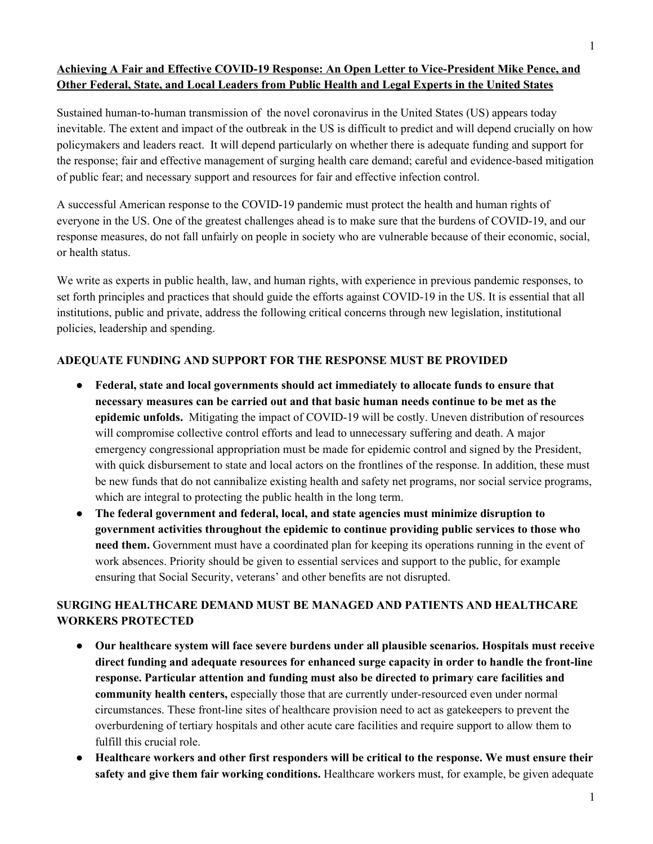# **Achieving A Fair and Effective COVID-19 Response: An Open Letter to Vice-President Mike Pence, and Other Federal, State, and Local Leaders from Public Health and Legal Experts in the United States**

Sustained human-to-human transmission of the novel coronavirus in the United States (US) appears today inevitable. The extent and impact of the outbreak in the US is difficult to predict and will depend crucially on how policymakers and leaders react. It will depend particularly on whether there is adequate funding and support for the response; fair and effective management of surging health care demand; careful and evidence-based mitigation of public fear; and necessary support and resources for fair and effective infection control.

A successful American response to the COVID-19 pandemic must protect the health and human rights of everyone in the US. One of the greatest challenges ahead is to make sure that the burdens of COVID-19, and our response measures, do not fall unfairly on people in society who are vulnerable because of their economic, social, or health status.

We write as experts in public health, law, and human rights, with experience in previous pandemic responses, to set forth principles and practices that should guide the efforts against COVID-19 in the US. It is essential that all institutions, public and private, address the following critical concerns through new legislation, institutional policies, leadership and spending.

### **ADEQUATE FUNDING AND SUPPORT FOR THE RESPONSE MUST BE PROVIDED**

- **● Federal, state and local governments should act immediately to allocate funds to ensure that necessary measures can be carried out and that basic human needs continue to be met as the epidemic unfolds.** Mitigating the impact of COVID-19 will be costly. Uneven distribution of resources will compromise collective control efforts and lead to unnecessary suffering and death. A major emergency congressional appropriation must be made for epidemic control and signed by the President, with quick disbursement to state and local actors on the frontlines of the response. In addition, these must be new funds that do not cannibalize existing health and safety net programs, nor social service programs, which are integral to protecting the public health in the long term.
- **● The federal government and federal, local, and state agencies must minimize disruption to government activities throughout the epidemic to continue providing public services to those who need them.** Government must have a coordinated plan for keeping its operations running in the event of work absences. Priority should be given to essential services and support to the public, for example ensuring that Social Security, veterans' and other benefits are not disrupted.

# **SURGING HEALTHCARE DEMAND MUST BE MANAGED AND PATIENTS AND HEALTHCARE WORKERS PROTECTED**

- **Our healthcare system will face severe burdens under all plausible scenarios. Hospitals must receive direct funding and adequate resources for enhanced surge capacity in order to handle the front-line response. Particular attention and funding must also be directed to primary care facilities and community health centers,** especially those that are currently under-resourced even under normal circumstances. These front-line sites of healthcare provision need to act as gatekeepers to prevent the overburdening of tertiary hospitals and other acute care facilities and require support to allow them to fulfill this crucial role.
- **Healthcare workers and other first responders will be critical to the response. We must ensure their**  safety and give them fair working conditions. Healthcare workers must, for example, be given adequate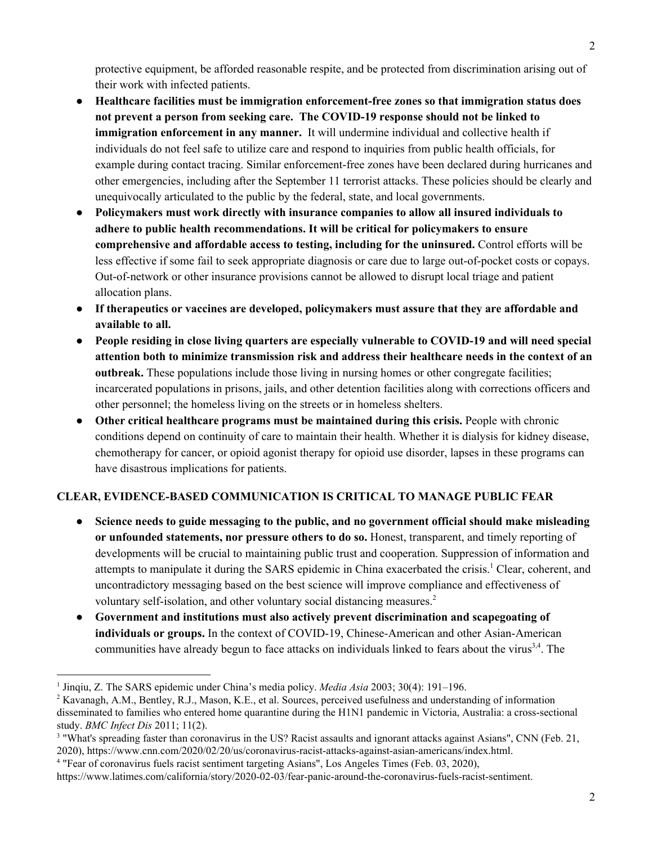protective equipment, be afforded reasonable respite, and be protected from discrimination arising out of their work with infected patients.

- **Healthcare facilities must be immigration enforcement-free zones so that immigration status does not prevent a person from seeking care. The COVID-19 response should not be linked to immigration enforcement in any manner.** It will undermine individual and collective health if individuals do not feel safe to utilize care and respond to inquiries from public health officials, for example during contact tracing. Similar enforcement-free zones have been declared during hurricanes and other emergencies, including after the September 11 terrorist attacks. These policies should be clearly and unequivocally articulated to the public by the federal, state, and local governments.
- **Policymakers must work directly with insurance companies to allow all insured individuals to adhere to public health recommendations. It will be critical for policymakers to ensure comprehensive and affordable access to testing, including for the uninsured.** Control efforts will be less effective if some fail to seek appropriate diagnosis or care due to large out-of-pocket costs or copays. Out-of-network or other insurance provisions cannot be allowed to disrupt local triage and patient allocation plans.
- **● If therapeutics or vaccines are developed, policymakers must assure that they are affordable and available to all.**
- **People residing in close living quarters are especially vulnerable to COVID-19 and will need special attention both to minimize transmission risk and address their healthcare needs in the context of an outbreak.** These populations include those living in nursing homes or other congregate facilities; incarcerated populations in prisons, jails, and other detention facilities along with corrections officers and other personnel; the homeless living on the streets or in homeless shelters.
- **Other critical healthcare programs must be maintained during this crisis.** People with chronic conditions depend on continuity of care to maintain their health. Whether it is dialysis for kidney disease, chemotherapy for cancer, or opioid agonist therapy for opioid use disorder, lapses in these programs can have disastrous implications for patients.

### **CLEAR, EVIDENCE-BASED COMMUNICATION IS CRITICAL TO MANAGE PUBLIC FEAR**

- Science needs to guide messaging to the public, and no government official should make misleading **or unfounded statements, nor pressure others to do so.** Honest, transparent, and timely reporting of developments will be crucial to maintaining public trust and cooperation. Suppression of information and attempts to manipulate it during the SARS epidemic in China exacerbated the crisis.<sup>1</sup> Clear, coherent, and uncontradictory messaging based on the best science will improve compliance and effectiveness of voluntary self-isolation, and other voluntary social distancing measures. <sup>2</sup>
- **Government and institutions must also actively prevent discrimination and scapegoating of individuals or groups.** In the context of COVID-19, Chinese-American and other Asian-American communities have already begun to face attacks on individuals linked to fears about the virus<sup>3,4</sup>. The

<sup>&</sup>lt;sup>1</sup> Jinqiu, Z. The SARS epidemic under China's media policy. *Media Asia* 2003; 30(4): 191–196.

<sup>&</sup>lt;sup>2</sup> Kavanagh, A.M., Bentley, R.J., Mason, K.E., et al. Sources, perceived usefulness and understanding of information disseminated to families who entered home quarantine during the H1N1 pandemic in Victoria, Australia: a cross-sectional study. *BMC Infect Dis* 2011; 11(2).

<sup>&</sup>lt;sup>3</sup> "What's spreading faster than coronavirus in the US? Racist assaults and ignorant attacks against Asians", CNN (Feb. 21, 2020), https://www.cnn.com/2020/02/20/us/coronavirus-racist-attacks-against-asian-americans/index.html.

<sup>4</sup> "Fear of coronavirus fuels racist sentiment targeting Asians", Los Angeles Times (Feb. 03, 2020),

https://www.latimes.com/california/story/2020-02-03/fear-panic-around-the-coronavirus-fuels-racist-sentiment.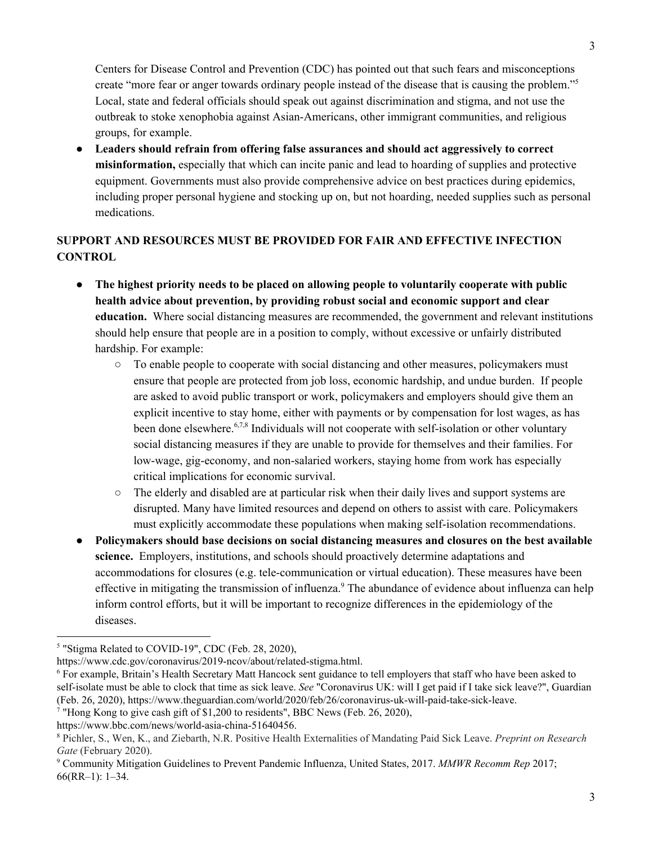Centers for Disease Control and Prevention (CDC) has pointed out that such fears and misconceptions create "more fear or anger towards ordinary people instead of the disease that is causing the problem."<sup>5</sup> Local, state and federal officials should speak out against discrimination and stigma, and not use the outbreak to stoke xenophobia against Asian-Americans, other immigrant communities, and religious groups, for example.

● **Leaders should refrain from offering false assurances and should act aggressively to correct misinformation,** especially that which can incite panic and lead to hoarding of supplies and protective equipment. Governments must also provide comprehensive advice on best practices during epidemics, including proper personal hygiene and stocking up on, but not hoarding, needed supplies such as personal medications.

# **SUPPORT AND RESOURCES MUST BE PROVIDED FOR FAIR AND EFFECTIVE INFECTION CONTROL**

- **The highest priority needs to be placed on allowing people to voluntarily cooperate with public health advice about prevention, by providing robust social and economic support and clear education.** Where social distancing measures are recommended, the government and relevant institutions should help ensure that people are in a position to comply, without excessive or unfairly distributed hardship. For example:
	- To enable people to cooperate with social distancing and other measures, policymakers must ensure that people are protected from job loss, economic hardship, and undue burden. If people are asked to avoid public transport or work, policymakers and employers should give them an explicit incentive to stay home, either with payments or by compensation for lost wages, as has been done elsewhere.<sup>6,7,8</sup> Individuals will not cooperate with self-isolation or other voluntary social distancing measures if they are unable to provide for themselves and their families. For low-wage, gig-economy, and non-salaried workers, staying home from work has especially critical implications for economic survival.
	- The elderly and disabled are at particular risk when their daily lives and support systems are disrupted. Many have limited resources and depend on others to assist with care. Policymakers must explicitly accommodate these populations when making self-isolation recommendations.
- **Policymakers should base decisions on social distancing measures and closures on the best available science.** Employers, institutions, and schools should proactively determine adaptations and accommodations for closures (e.g. tele-communication or virtual education). These measures have been effective in mitigating the transmission of influenza.<sup>9</sup> The abundance of evidence about influenza can help inform control efforts, but it will be important to recognize differences in the epidemiology of the diseases.

https://www.bbc.com/news/world-asia-china-51640456.

<sup>&</sup>lt;sup>5</sup> "Stigma Related to COVID-19", CDC (Feb. 28, 2020),

https://www.cdc.gov/coronavirus/2019-ncov/about/related-stigma.html.

<sup>&</sup>lt;sup>6</sup> For example, Britain's Health Secretary Matt Hancock sent guidance to tell employers that staff who have been asked to self-isolate must be able to clock that time as sick leave. *See* "Coronavirus UK: will I get paid if I take sick leave?", Guardian (Feb. 26, 2020), https://www.theguardian.com/world/2020/feb/26/coronavirus-uk-will-paid-take-sick-leave.

<sup>&</sup>lt;sup>7</sup> "Hong Kong to give cash gift of \$1,200 to residents", BBC News (Feb. 26, 2020),

<sup>8</sup> Pichler, S., Wen, K., and Ziebarth, N.R. Positive Health Externalities of Mandating Paid Sick Leave. *Preprint on Research Gate* (February 2020).

<sup>9</sup> Community Mitigation Guidelines to Prevent Pandemic Influenza, United States, 2017. *MMWR Recomm Rep* 2017; 66(RR–1): 1–34.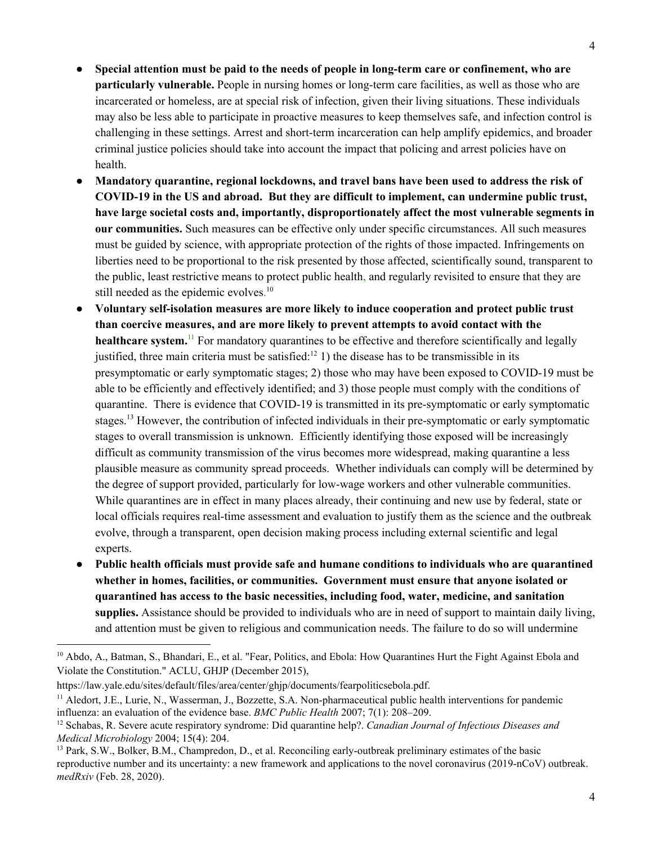- **● Special attention must be paid to the needs of people in long-term care or confinement, who are particularly vulnerable.** People in nursing homes or long-term care facilities, as well as those who are incarcerated or homeless, are at special risk of infection, given their living situations. These individuals may also be less able to participate in proactive measures to keep themselves safe, and infection control is challenging in these settings. Arrest and short-term incarceration can help amplify epidemics, and broader criminal justice policies should take into account the impact that policing and arrest policies have on health.
- **Mandatory quarantine, regional lockdowns, and travel bans have been used to address the risk of COVID-19 in the US and abroad. But they are difficult to implement, can undermine public trust, have large societal costs and, importantly, disproportionately affect the most vulnerable segments in our communities.** Such measures can be effective only under specific circumstances. All such measures must be guided by science, with appropriate protection of the rights of those impacted. Infringements on liberties need to be proportional to the risk presented by those affected, scientifically sound, transparent to the public, least restrictive means to protect public health, and regularly revisited to ensure that they are still needed as the epidemic evolves.<sup>10</sup>
- **Voluntary self-isolation measures are more likely to induce cooperation and protect public trust than coercive measures, and are more likely to prevent attempts to avoid contact with the healthcare system.**<sup>11</sup> For mandatory quarantines to be effective and therefore scientifically and legally justified, three main criteria must be satisfied:  $\frac{1}{2}$  1) the disease has to be transmissible in its presymptomatic or early symptomatic stages; 2) those who may have been exposed to COVID-19 must be able to be efficiently and effectively identified; and 3) those people must comply with the conditions of quarantine. There is evidence that COVID-19 is transmitted in its pre-symptomatic or early symptomatic stages.<sup>13</sup> However, the contribution of infected individuals in their pre-symptomatic or early symptomatic stages to overall transmission is unknown. Efficiently identifying those exposed will be increasingly difficult as community transmission of the virus becomes more widespread, making quarantine a less plausible measure as community spread proceeds. Whether individuals can comply will be determined by the degree of support provided, particularly for low-wage workers and other vulnerable communities. While quarantines are in effect in many places already, their continuing and new use by federal, state or local officials requires real-time assessment and evaluation to justify them as the science and the outbreak evolve, through a transparent, open decision making process including external scientific and legal experts.
- **Public health officials must provide safe and humane conditions to individuals who are quarantined whether in homes, facilities, or communities. Government must ensure that anyone isolated or quarantined has access to the basic necessities, including food, water, medicine, and sanitation supplies.** Assistance should be provided to individuals who are in need of support to maintain daily living, and attention must be given to religious and communication needs. The failure to do so will undermine

<sup>&</sup>lt;sup>10</sup> Abdo, A., Batman, S., Bhandari, E., et al. "Fear, Politics, and Ebola: How Quarantines Hurt the Fight Against Ebola and Violate the Constitution." ACLU, GHJP (December 2015),

https://law.yale.edu/sites/default/files/area/center/ghjp/documents/fearpoliticsebola.pdf.

<sup>&</sup>lt;sup>11</sup> Aledort, J.E., Lurie, N., Wasserman, J., Bozzette, S.A. Non-pharmaceutical public health interventions for pandemic influenza: an evaluation of the evidence base. *BMC Public Health* 2007; 7(1): 208–209.

<sup>12</sup> Schabas, R. Severe acute respiratory syndrome: Did quarantine help?. *Canadian Journal of Infectious Diseases and Medical Microbiology* 2004; 15(4): 204.

<sup>&</sup>lt;sup>13</sup> Park, S.W., Bolker, B.M., Champredon, D., et al. Reconciling early-outbreak preliminary estimates of the basic reproductive number and its uncertainty: a new framework and applications to the novel coronavirus (2019-nCoV) outbreak. *medRxiv* (Feb. 28, 2020).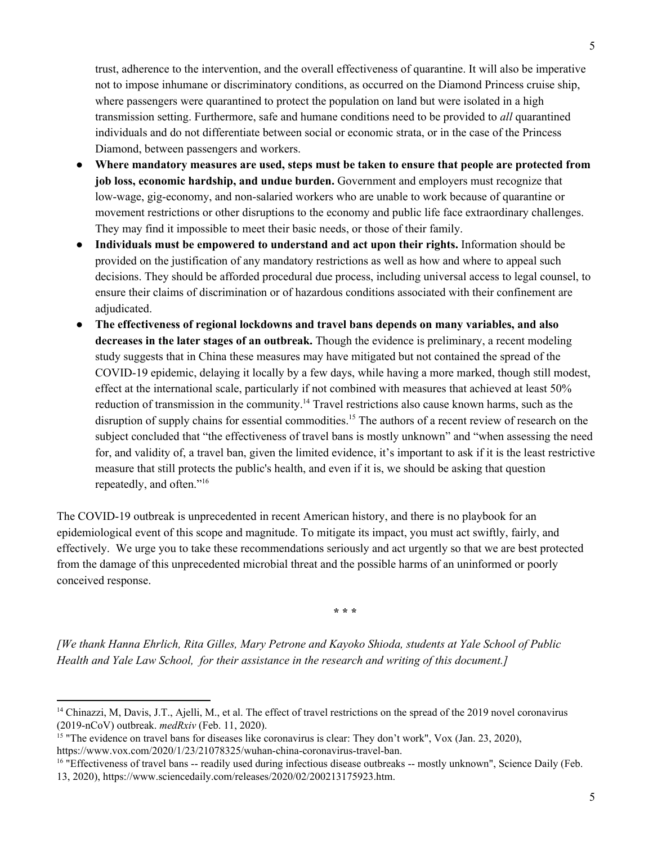trust, adherence to the intervention, and the overall effectiveness of quarantine. It will also be imperative not to impose inhumane or discriminatory conditions, as occurred on the Diamond Princess cruise ship, where passengers were quarantined to protect the population on land but were isolated in a high transmission setting. Furthermore, safe and humane conditions need to be provided to *all* quarantined individuals and do not differentiate between social or economic strata, or in the case of the Princess Diamond, between passengers and workers.

- **Where mandatory measures are used, steps must be taken to ensure that people are protected from job loss, economic hardship, and undue burden.** Government and employers must recognize that low-wage, gig-economy, and non-salaried workers who are unable to work because of quarantine or movement restrictions or other disruptions to the economy and public life face extraordinary challenges. They may find it impossible to meet their basic needs, or those of their family.
- **Individuals must be empowered to understand and act upon their rights.** Information should be provided on the justification of any mandatory restrictions as well as how and where to appeal such decisions. They should be afforded procedural due process, including universal access to legal counsel, to ensure their claims of discrimination or of hazardous conditions associated with their confinement are adjudicated.
- **The effectiveness of regional lockdowns and travel bans depends on many variables, and also decreases in the later stages of an outbreak.** Though the evidence is preliminary, a recent modeling study suggests that in China these measures may have mitigated but not contained the spread of the COVID-19 epidemic, delaying it locally by a few days, while having a more marked, though still modest, effect at the international scale, particularly if not combined with measures that achieved at least 50% reduction of transmission in the community.<sup>14</sup> Travel restrictions also cause known harms, such as the disruption of supply chains for essential commodities.<sup>15</sup> The authors of a recent review of research on the subject concluded that "the effectiveness of travel bans is mostly unknown" and "when assessing the need for, and validity of, a travel ban, given the limited evidence, it's important to ask if it is the least restrictive measure that still protects the public's health, and even if it is, we should be asking that question repeatedly, and often."<sup>16</sup>

The COVID-19 outbreak is unprecedented in recent American history, and there is no playbook for an epidemiological event of this scope and magnitude. To mitigate its impact, you must act swiftly, fairly, and effectively. We urge you to take these recommendations seriously and act urgently so that we are best protected from the damage of this unprecedented microbial threat and the possible harms of an uninformed or poorly conceived response.

**\* \* \*** 

*[We thank Hanna Ehrlich, Rita Gilles, Mary Petrone and Kayoko Shioda, students at Yale School of Public Health and Yale Law School, for their assistance in the research and writing of this document.]* 

<sup>&</sup>lt;sup>14</sup> Chinazzi, M, Davis, J.T., Ajelli, M., et al. The effect of travel restrictions on the spread of the 2019 novel coronavirus (2019-nCoV) outbreak. *medRxiv* (Feb. 11, 2020).

<sup>&</sup>lt;sup>15</sup> "The evidence on travel bans for diseases like coronavirus is clear: They don't work", Vox (Jan. 23, 2020), https://www.vox.com/2020/1/23/21078325/wuhan-china-coronavirus-travel-ban.

<sup>&</sup>lt;sup>16</sup> "Effectiveness of travel bans -- readily used during infectious disease outbreaks -- mostly unknown", Science Daily (Feb. 13, 2020), https://www.sciencedaily.com/releases/2020/02/200213175923.htm.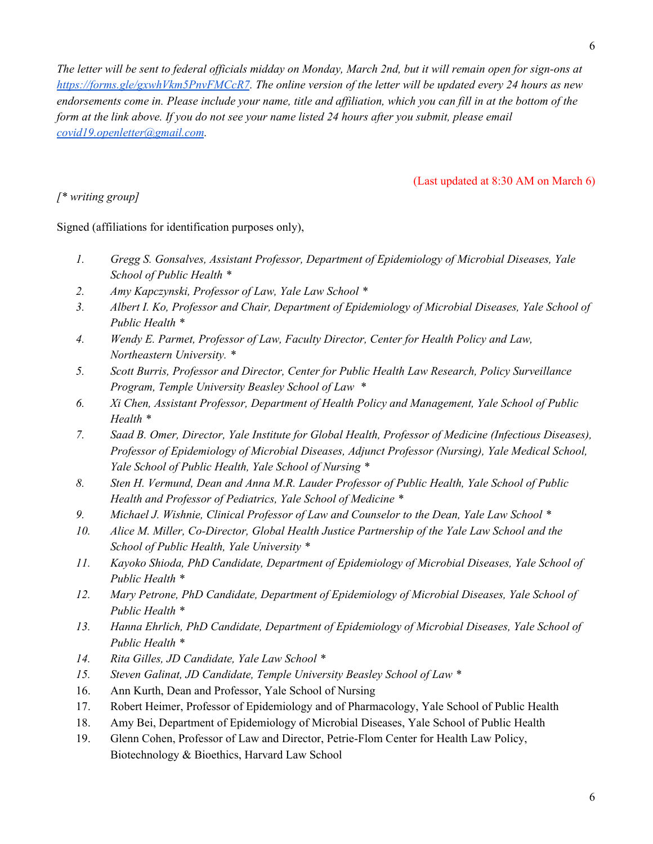*The letter will be sent to federal officials midday on Monday, March 2nd, but it will remain open for sign-ons at [https://forms.gle/gxwhVkm5PnvFMCcR7](https://nam05.safelinks.protection.outlook.com/?url=https%3A%2F%2Fforms.gle%2FgxwhVkm5PnvFMCcR7&data=02%7C01%7Cgregg.gonsalves%40yale.edu%7Cb7b8538f62244566795c08d7bebcf0df%7Cdd8cbebb21394df8b4114e3e87abeb5c%7C0%7C0%7C637187591028279077&sdata=2aH7TOo5PfPB8P5JkEaEEtJp16cmKO9dyYvxbDV%2BQsA%3D&reserved=0). The online version of the letter will be updated every 24 hours as new* endorsements come in. Please include your name, title and affiliation, which you can fill in at the bottom of the *form at the link above. If you do not see your name listed 24 hours after you submit, please email [covid19.openletter@gmail.com](mailto:covid19.openletter@gmail.com).* 

(Last updated at 8:30 AM on March 6)

*[\* writing group]*

Signed (affiliations for identification purposes only),

- *1. Gregg S. Gonsalves, Assistant Professor, Department of Epidemiology of Microbial Diseases, Yale School of Public Health \**
- *2. Amy Kapczynski, Professor of Law, Yale Law School \**
- *3. Albert I. Ko, Professor and Chair, Department of Epidemiology of Microbial Diseases, Yale School of Public Health \**
- *4. Wendy E. Parmet, Professor of Law, Faculty Director, Center for Health Policy and Law, Northeastern University. \**
- *5. Scott Burris, Professor and Director, Center for Public Health Law Research, Policy Surveillance Program, Temple University Beasley School of Law \**
- *6. Xi Chen, Assistant Professor, Department of Health Policy and Management, Yale School of Public Health \**
- *7. Saad B. Omer, Director, Yale Institute for Global Health, Professor of Medicine (Infectious Diseases), Professor of Epidemiology of Microbial Diseases, Adjunct Professor (Nursing), Yale Medical School, Yale School of Public Health, Yale School of Nursing \**
- *8. Sten H. Vermund, Dean and Anna M.R. Lauder Professor of Public Health, Yale School of Public Health and Professor of Pediatrics, Yale School of Medicine \**
- *9. Michael J. Wishnie, Clinical Professor of Law and Counselor to the Dean, Yale Law School \**
- *10. Alice M. Miller, Co-Director, Global Health Justice Partnership of the Yale Law School and the School of Public Health, Yale University \**
- *11. Kayoko Shioda, PhD Candidate, Department of Epidemiology of Microbial Diseases, Yale School of Public Health \**
- *12. Mary Petrone, PhD Candidate, Department of Epidemiology of Microbial Diseases, Yale School of Public Health \**
- *13. Hanna Ehrlich, PhD Candidate, Department of Epidemiology of Microbial Diseases, Yale School of Public Health \**
- *14. Rita Gilles, JD Candidate, Yale Law School \**
- *15. Steven Galinat, JD Candidate, Temple University Beasley School of Law \**
- 16. Ann Kurth, Dean and Professor, Yale School of Nursing
- 17. Robert Heimer, Professor of Epidemiology and of Pharmacology, Yale School of Public Health
- 18. Amy Bei, Department of Epidemiology of Microbial Diseases, Yale School of Public Health
- 19. Glenn Cohen, Professor of Law and Director, Petrie-Flom Center for Health Law Policy, Biotechnology & Bioethics, Harvard Law School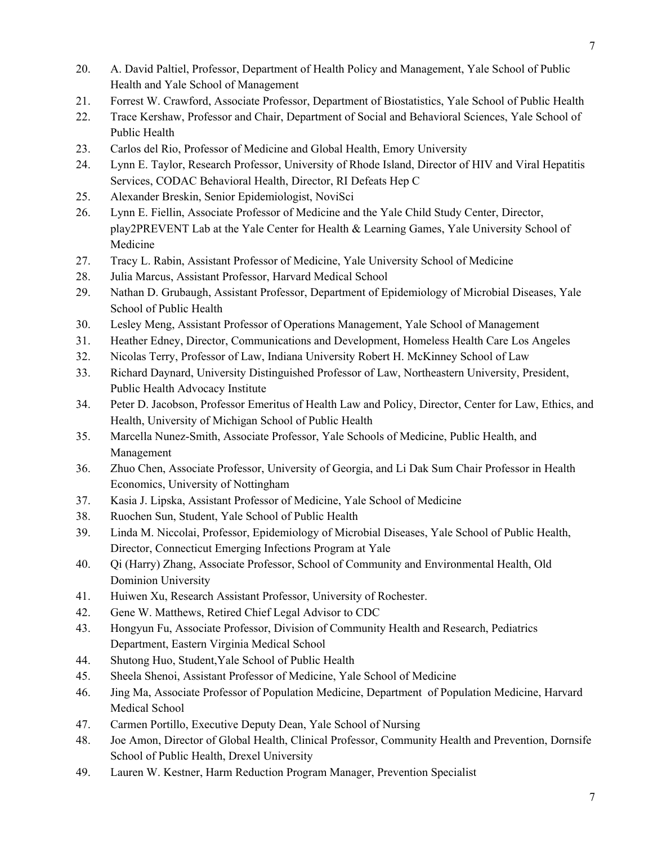- 20. A. David Paltiel, Professor, Department of Health Policy and Management, Yale School of Public Health and Yale School of Management
- 21. Forrest W. Crawford, Associate Professor, Department of Biostatistics, Yale School of Public Health
- 22. Trace Kershaw, Professor and Chair, Department of Social and Behavioral Sciences, Yale School of Public Health
- 23. Carlos del Rio, Professor of Medicine and Global Health, Emory University
- 24. Lynn E. Taylor, Research Professor, University of Rhode Island, Director of HIV and Viral Hepatitis Services, CODAC Behavioral Health, Director, RI Defeats Hep C
- 25. Alexander Breskin, Senior Epidemiologist, NoviSci
- 26. Lynn E. Fiellin, Associate Professor of Medicine and the Yale Child Study Center, Director, play2PREVENT Lab at the Yale Center for Health & Learning Games, Yale University School of Medicine
- 27. Tracy L. Rabin, Assistant Professor of Medicine, Yale University School of Medicine
- 28. Julia Marcus, Assistant Professor, Harvard Medical School
- 29. Nathan D. Grubaugh, Assistant Professor, Department of Epidemiology of Microbial Diseases, Yale School of Public Health
- 30. Lesley Meng, Assistant Professor of Operations Management, Yale School of Management
- 31. Heather Edney, Director, Communications and Development, Homeless Health Care Los Angeles
- 32. Nicolas Terry, Professor of Law, Indiana University Robert H. McKinney School of Law
- 33. Richard Daynard, University Distinguished Professor of Law, Northeastern University, President, Public Health Advocacy Institute
- 34. Peter D. Jacobson, Professor Emeritus of Health Law and Policy, Director, Center for Law, Ethics, and Health, University of Michigan School of Public Health
- 35. Marcella Nunez-Smith, Associate Professor, Yale Schools of Medicine, Public Health, and Management
- 36. Zhuo Chen, Associate Professor, University of Georgia, and Li Dak Sum Chair Professor in Health Economics, University of Nottingham
- 37. Kasia J. Lipska, Assistant Professor of Medicine, Yale School of Medicine
- 38. Ruochen Sun, Student, Yale School of Public Health
- 39. Linda M. Niccolai, Professor, Epidemiology of Microbial Diseases, Yale School of Public Health, Director, Connecticut Emerging Infections Program at Yale
- 40. Qi (Harry) Zhang, Associate Professor, School of Community and Environmental Health, Old Dominion University
- 41. Huiwen Xu, Research Assistant Professor, University of Rochester.
- 42. Gene W. Matthews, Retired Chief Legal Advisor to CDC
- 43. Hongyun Fu, Associate Professor, Division of Community Health and Research, Pediatrics Department, Eastern Virginia Medical School
- 44. Shutong Huo, Student,Yale School of Public Health
- 45. Sheela Shenoi, Assistant Professor of Medicine, Yale School of Medicine
- 46. Jing Ma, Associate Professor of Population Medicine, Department of Population Medicine, Harvard Medical School
- 47. Carmen Portillo, Executive Deputy Dean, Yale School of Nursing
- 48. Joe Amon, Director of Global Health, Clinical Professor, Community Health and Prevention, Dornsife School of Public Health, Drexel University
- 49. Lauren W. Kestner, Harm Reduction Program Manager, Prevention Specialist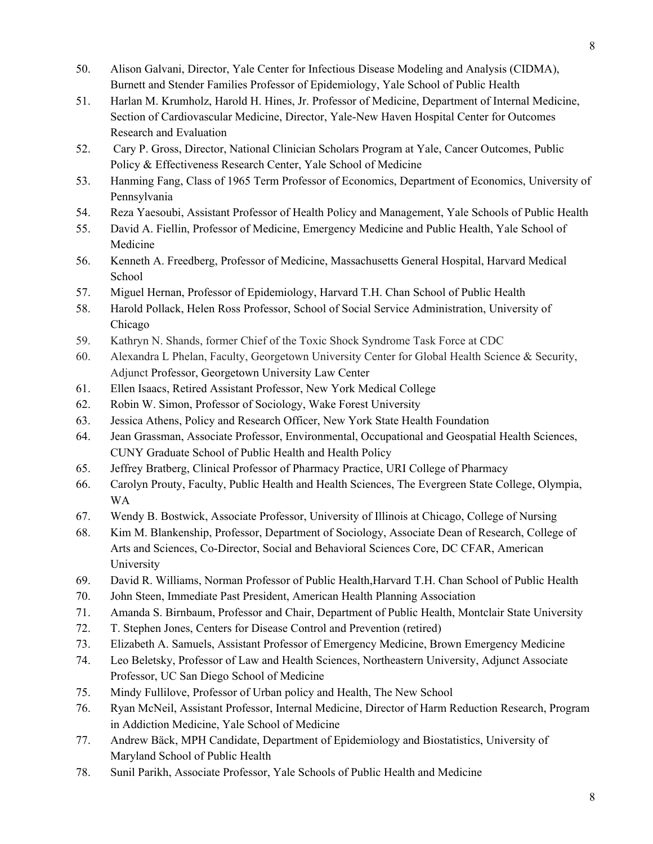- 50. Alison Galvani, Director, Yale Center for Infectious Disease Modeling and Analysis (CIDMA), Burnett and Stender Families Professor of Epidemiology, Yale School of Public Health
- 51. Harlan M. Krumholz, Harold H. Hines, Jr. Professor of Medicine, Department of Internal Medicine, Section of Cardiovascular Medicine, Director, Yale-New Haven Hospital Center for Outcomes Research and Evaluation
- 52. Cary P. Gross, Director, [Nati](http://nationalcsp.org/)onal Clinician Scholars Program at Yale, Cancer Outcomes, Public Policy & Effectiveness Research Center, Yale School of Medicine
- 53. Hanming Fang, Class of 1965 Term Professor of Economics, Department of Economics, University of Pennsylvania
- 54. Reza Yaesoubi, Assistant Professor of Health Policy and Management, Yale Schools of Public Health
- 55. David A. Fiellin, Professor of Medicine, Emergency Medicine and Public Health, Yale School of Medicine
- 56. Kenneth A. Freedberg, Professor of Medicine, Massachusetts General Hospital, Harvard Medical School
- 57. Miguel Hernan, Professor of Epidemiology, Harvard T.H. Chan School of Public Health
- 58. Harold Pollack, Helen Ross Professor, School of Social Service Administration, University of Chicago
- 59. Kathryn N. Shands, former Chief of the Toxic Shock Syndrome Task Force at CDC
- 60. Alexandra L Phelan, Faculty, Georgetown University Center for Global Health Science & Security, Adjunct Professor, Georgetown University Law Center
- 61. Ellen Isaacs, Retired Assistant Professor, New York Medical College
- 62. Robin W. Simon, Professor of Sociology, Wake Forest University
- 63. Jessica Athens, Policy and Research Officer, New York State Health Foundation
- 64. Jean Grassman, Associate Professor, Environmental, Occupational and Geospatial Health Sciences, CUNY Graduate School of Public Health and Health Policy
- 65. Jeffrey Bratberg, Clinical Professor of Pharmacy Practice, URI College of Pharmacy
- 66. Carolyn Prouty, Faculty, Public Health and Health Sciences, The Evergreen State College, Olympia, WA
- 67. Wendy B. Bostwick, Associate Professor, University of Illinois at Chicago, College of Nursing
- 68. Kim M. Blankenship, Professor, Department of Sociology, Associate Dean of Research, College of Arts and Sciences, Co-Director, Social and Behavioral Sciences Core, DC CFAR, American University
- 69. David R. Williams, Norman Professor of Public Health,Harvard T.H. Chan School of Public Health
- 70. John Steen, Immediate Past President, American Health Planning Association
- 71. Amanda S. Birnbaum, Professor and Chair, Department of Public Health, Montclair State University
- 72. T. Stephen Jones, Centers for Disease Control and Prevention (retired)
- 73. Elizabeth A. Samuels, Assistant Professor of Emergency Medicine, Brown Emergency Medicine
- 74. Leo Beletsky, Professor of Law and Health Sciences, Northeastern University, Adjunct Associate Professor, UC San Diego School of Medicine
- 75. Mindy Fullilove, Professor of Urban policy and Health, The New School
- 76. Ryan McNeil, Assistant Professor, Internal Medicine, Director of Harm Reduction Research, Program in Addiction Medicine, Yale School of Medicine
- 77. Andrew Bäck, MPH Candidate, Department of Epidemiology and Biostatistics, University of Maryland School of Public Health
- 78. Sunil Parikh, Associate Professor, Yale Schools of Public Health and Medicine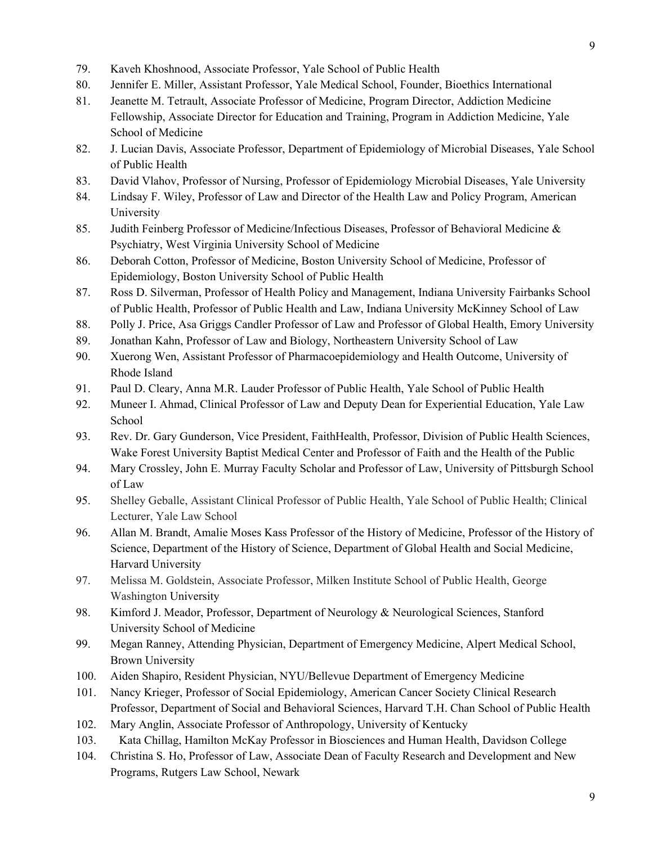- 79. Kaveh Khoshnood, Associate Professor, Yale School of Public Health
- 80. Jennifer E. Miller, Assistant Professor, Yale Medical School, Founder, Bioethics International
- 81. Jeanette M. Tetrault, Associate Professor of Medicine, Program Director, Addiction Medicine Fellowship, Associate Director for Education and Training, Program in Addiction Medicine, Yale School of Medicine
- 82. J. Lucian Davis, Associate Professor, Department of Epidemiology of Microbial Diseases, Yale School of Public Health
- 83. David Vlahov, Professor of Nursing, Professor of Epidemiology Microbial Diseases, Yale University
- 84. Lindsay F. Wiley, Professor of Law and Director of the Health Law and Policy Program, American University
- 85. Judith Feinberg Professor of Medicine/Infectious Diseases, Professor of Behavioral Medicine & Psychiatry, West Virginia University School of Medicine
- 86. Deborah Cotton, Professor of Medicine, Boston University School of Medicine, Professor of Epidemiology, Boston University School of Public Health
- 87. Ross D. Silverman, Professor of Health Policy and Management, Indiana University Fairbanks School of Public Health, Professor of Public Health and Law, Indiana University McKinney School of Law
- 88. Polly J. Price, Asa Griggs Candler Professor of Law and Professor of Global Health, Emory University
- 89. Jonathan Kahn, Professor of Law and Biology, Northeastern University School of Law
- 90. Xuerong Wen, Assistant Professor of Pharmacoepidemiology and Health Outcome, University of Rhode Island
- 91. Paul D. Cleary, Anna M.R. Lauder Professor of Public Health, Yale School of Public Health
- 92. Muneer I. Ahmad, Clinical Professor of Law and Deputy Dean for Experiential Education, Yale Law School
- 93. Rev. Dr. Gary Gunderson, Vice President, FaithHealth, Professor, Division of Public Health Sciences, Wake Forest University Baptist Medical Center and Professor of Faith and the Health of the Public
- 94. Mary Crossley, John E. Murray Faculty Scholar and Professor of Law, University of Pittsburgh School of Law
- 95. Shelley Geballe, Assistant Clinical Professor of Public Health, Yale School of Public Health; Clinical Lecturer, Yale Law School
- 96. Allan M. Brandt, Amalie Moses Kass Professor of the History of Medicine, Professor of the History of Science, Department of the History of Science, Department of Global Health and Social Medicine, Harvard University
- 97. Melissa M. Goldstein, Associate Professor, Milken Institute School of Public Health, George Washington University
- 98. Kimford J. Meador, Professor, Department of Neurology & Neurological Sciences, Stanford University School of Medicine
- 99. Megan Ranney, Attending Physician, Department of Emergency Medicine, Alpert Medical School, Brown University
- 100. Aiden Shapiro, Resident Physician, NYU/Bellevue Department of Emergency Medicine
- 101. Nancy Krieger, Professor of Social Epidemiology, American Cancer Society Clinical Research Professor, Department of Social and Behavioral Sciences, Harvard T.H. Chan School of Public Health
- 102. Mary Anglin, Associate Professor of Anthropology, University of Kentucky
- 103. Kata Chillag, Hamilton McKay Professor in Biosciences and Human Health, Davidson College
- 104. Christina S. Ho, Professor of Law, Associate Dean of Faculty Research and Development and New Programs, Rutgers Law School, Newark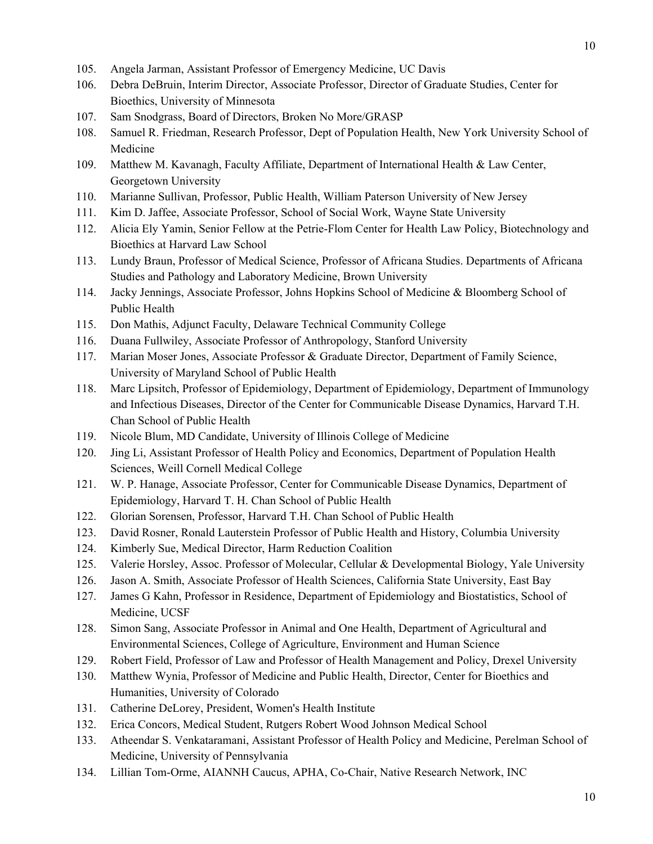- 105. Angela Jarman, Assistant Professor of Emergency Medicine, UC Davis
- 106. Debra DeBruin, Interim Director, Associate Professor, Director of Graduate Studies, Center for Bioethics, University of Minnesota
- 107. Sam Snodgrass, Board of Directors, Broken No More/GRASP
- 108. Samuel R. Friedman, Research Professor, Dept of Population Health, New York University School of Medicine
- 109. Matthew M. Kavanagh, Faculty Affiliate, Department of International Health & Law Center, Georgetown University
- 110. Marianne Sullivan, Professor, Public Health, William Paterson University of New Jersey
- 111. Kim D. Jaffee, Associate Professor, School of Social Work, Wayne State University
- 112. Alicia Ely Yamin, Senior Fellow at the Petrie-Flom Center for Health Law Policy, Biotechnology and Bioethics at Harvard Law School
- 113. Lundy Braun, Professor of Medical Science, Professor of Africana Studies. Departments of Africana Studies and Pathology and Laboratory Medicine, Brown University
- 114. Jacky Jennings, Associate Professor, Johns Hopkins School of Medicine & Bloomberg School of Public Health
- 115. Don Mathis, Adjunct Faculty, Delaware Technical Community College
- 116. Duana Fullwiley, Associate Professor of Anthropology, Stanford University
- 117. Marian Moser Jones, Associate Professor & Graduate Director, Department of Family Science, University of Maryland School of Public Health
- 118. Marc Lipsitch, Professor of Epidemiology, Department of Epidemiology, Department of Immunology and Infectious Diseases, Director of the Center for Communicable Disease Dynamics, Harvard T.H. Chan School of Public Health
- 119. Nicole Blum, MD Candidate, University of Illinois College of Medicine
- 120. Jing Li, Assistant Professor of Health Policy and Economics, Department of Population Health Sciences, Weill Cornell Medical College
- 121. W. P. Hanage, Associate Professor, Center for Communicable Disease Dynamics, Department of Epidemiology, Harvard T. H. Chan School of Public Health
- 122. Glorian Sorensen, Professor, Harvard T.H. Chan School of Public Health
- 123. David Rosner, Ronald Lauterstein Professor of Public Health and History, Columbia University
- 124. Kimberly Sue, Medical Director, Harm Reduction Coalition
- 125. Valerie Horsley, Assoc. Professor of Molecular, Cellular & Developmental Biology, Yale University
- 126. Jason A. Smith, Associate Professor of Health Sciences, California State University, East Bay
- 127. James G Kahn, Professor in Residence, Department of Epidemiology and Biostatistics, School of Medicine, UCSF
- 128. Simon Sang, Associate Professor in Animal and One Health, Department of Agricultural and Environmental Sciences, College of Agriculture, Environment and Human Science
- 129. Robert Field, Professor of Law and Professor of Health Management and Policy, Drexel University
- 130. Matthew Wynia, Professor of Medicine and Public Health, Director, Center for Bioethics and Humanities, University of Colorado
- 131. Catherine DeLorey, President, Women's Health Institute
- 132. Erica Concors, Medical Student, Rutgers Robert Wood Johnson Medical School
- 133. Atheendar S. Venkataramani, Assistant Professor of Health Policy and Medicine, Perelman School of Medicine, University of Pennsylvania
- 134. Lillian Tom-Orme, AIANNH Caucus, APHA, Co-Chair, Native Research Network, INC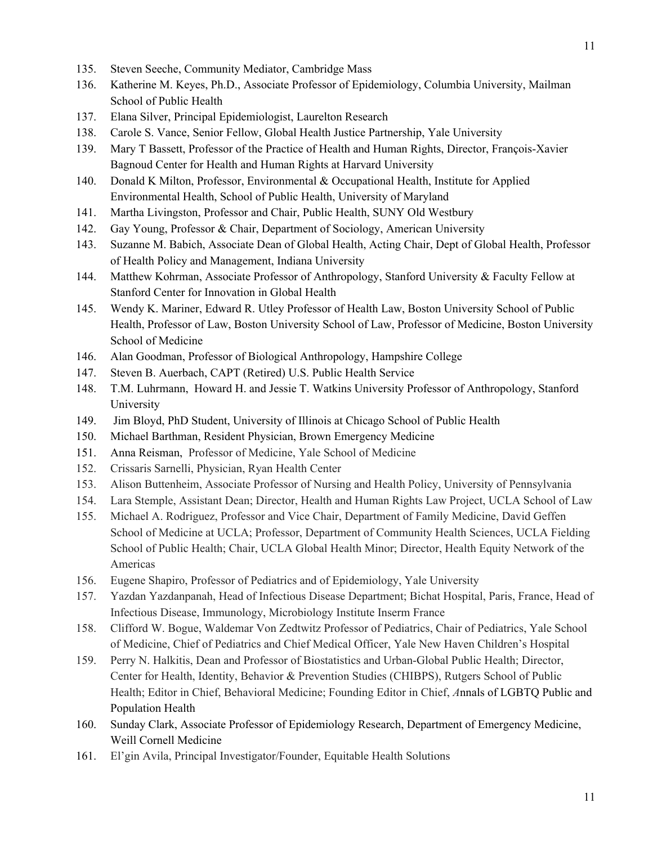- 135. Steven Seeche, Community Mediator, Cambridge Mass
- 136. Katherine M. Keyes, Ph.D., Associate Professor of Epidemiology, Columbia University, Mailman School of Public Health
- 137. Elana Silver, Principal Epidemiologist, Laurelton Research
- 138. Carole S. Vance, Senior Fellow, Global Health Justice Partnership, Yale University
- 139. Mary T Bassett, Professor of the Practice of Health and Human Rights, Director, François-Xavier Bagnoud Center for Health and Human Rights at Harvard University
- 140. Donald K Milton, Professor, Environmental & Occupational Health, Institute for Applied Environmental Health, School of Public Health, University of Maryland
- 141. Martha Livingston, Professor and Chair, Public Health, SUNY Old Westbury
- 142. Gay Young, Professor & Chair, Department of Sociology, American University
- 143. Suzanne M. Babich, Associate Dean of Global Health, Acting Chair, Dept of Global Health, Professor of Health Policy and Management, Indiana University
- 144. Matthew Kohrman, Associate Professor of Anthropology, Stanford University & Faculty Fellow at Stanford Center for Innovation in Global Health
- 145. Wendy K. Mariner, Edward R. Utley Professor of Health Law, Boston University School of Public Health, Professor of Law, Boston University School of Law, Professor of Medicine, Boston University School of Medicine
- 146. Alan Goodman, Professor of Biological Anthropology, Hampshire College
- 147. Steven B. Auerbach, CAPT (Retired) U.S. Public Health Service
- 148. T.M. Luhrmann, Howard H. and Jessie T. Watkins University Professor of Anthropology, Stanford University
- 149. Jim Bloyd, PhD Student, University of Illinois at Chicago School of Public Health
- 150. Michael Barthman, Resident Physician, Brown Emergency Medicine
- 151. Anna Reisman, Professor of Medicine, Yale School of Medicine
- 152. Crissaris Sarnelli, Physician, Ryan Health Center
- 153. Alison Buttenheim, Associate Professor of Nursing and Health Policy, University of Pennsylvania
- 154. Lara Stemple, Assistant Dean; Director, Health and Human Rights Law Project, UCLA School of Law
- 155. Michael A. Rodriguez, Professor and Vice Chair, Department of Family Medicine, David Geffen School of Medicine at UCLA; Professor, Department of Community Health Sciences, UCLA Fielding School of Public Health; Chair, UCLA Global Health Minor; Director, Health Equity Network of the Americas
- 156. Eugene Shapiro, Professor of Pediatrics and of Epidemiology, Yale University
- 157. Yazdan Yazdanpanah, Head of Infectious Disease Department; Bichat Hospital, Paris, France, Head of Infectious Disease, Immunology, Microbiology Institute Inserm France
- 158. Clifford W. Bogue, Waldemar Von Zedtwitz Professor of Pediatrics, Chair of Pediatrics, Yale School of Medicine, Chief of Pediatrics and Chief Medical Officer, Yale New Haven Children's Hospital
- 159. Perry N. Halkitis, Dean and Professor of Biostatistics and Urban-Global Public Health; Director, Center for Health, Identity, Behavior & Prevention Studies (CHIBPS), Rutgers School of Public Health; Editor in Chief, Behavioral Medicine; Founding Editor in Chief, *A*nnals of LGBTQ Public and Population Health
- 160. Sunday Clark, Associate Professor of Epidemiology Research, Department of Emergency Medicine, Weill Cornell Medicine
- 161. El'gin Avila, Principal Investigator/Founder, Equitable Health Solutions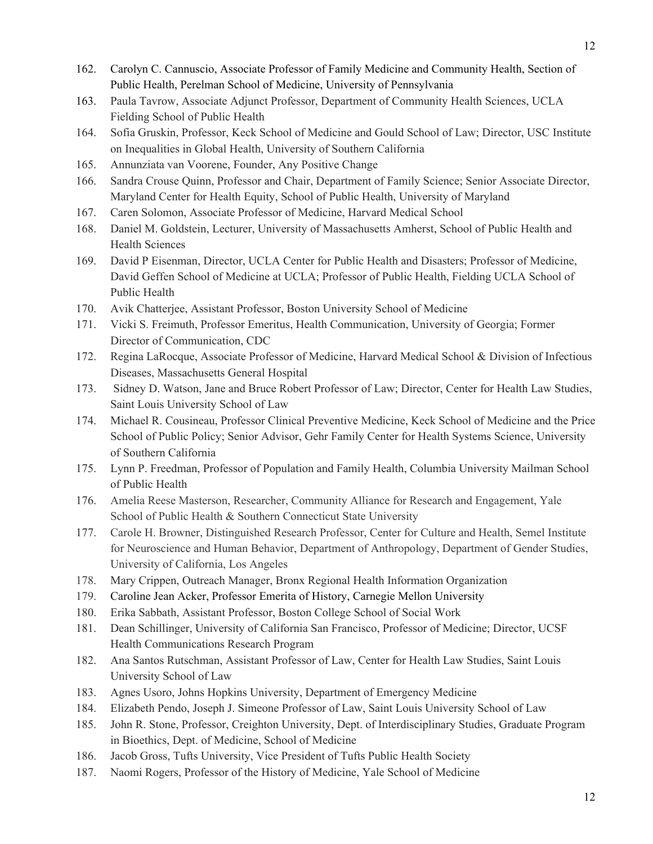- 162. Carolyn C. Cannuscio, Associate Professor of Family Medicine and Community Health, Section of Public Health, Perelman School of Medicine, University of Pennsylvania
- 163. Paula Tavrow, Associate Adjunct Professor, Department of Community Health Sciences, UCLA Fielding School of Public Health
- 164. Sofia Gruskin, Professor, Keck School of Medicine and Gould School of Law; Director, USC Institute on Inequalities in Global Health, University of Southern California
- 165. Annunziata van Voorene, Founder, Any Positive Change
- 166. Sandra Crouse Quinn, Professor and Chair, Department of Family Science; Senior Associate Director, Maryland Center for Health Equity, School of Public Health, University of Maryland
- 167. Caren Solomon, Associate Professor of Medicine, Harvard Medical School
- 168. Daniel M. Goldstein, Lecturer, University of Massachusetts Amherst, School of Public Health and Health Sciences
- 169. David P Eisenman, Director, UCLA Center for Public Health and Disasters; Professor of Medicine, David Geffen School of Medicine at UCLA; Professor of Public Health, Fielding UCLA School of Public Health
- 170. Avik Chatterjee, Assistant Professor, Boston University School of Medicine
- 171. Vicki S. Freimuth, Professor Emeritus, Health Communication, University of Georgia; Former Director of Communication, CDC
- 172. Regina LaRocque, Associate Professor of Medicine, Harvard Medical School & Division of Infectious Diseases, Massachusetts General Hospital
- 173. Sidney D. Watson, Jane and Bruce Robert Professor of Law; Director, Center for Health Law Studies, Saint Louis University School of Law
- 174. Michael R. Cousineau, Professor Clinical Preventive Medicine, Keck School of Medicine and the Price School of Public Policy; Senior Advisor, Gehr Family Center for Health Systems Science, University of Southern California
- 175. Lynn P. Freedman, Professor of Population and Family Health, Columbia University Mailman School of Public Health
- 176. Amelia Reese Masterson, Researcher, Community Alliance for Research and Engagement, Yale School of Public Health & Southern Connecticut State University
- 177. Carole H. Browner, Distinguished Research Professor, Center for Culture and Health, Semel Institute for Neuroscience and Human Behavior, Department of Anthropology, Department of Gender Studies, University of California, Los Angeles
- 178. Mary Crippen, Outreach Manager, Bronx Regional Health Information Organization
- 179. Caroline Jean Acker, Professor Emerita of History, Carnegie Mellon University
- 180. Erika Sabbath, Assistant Professor, Boston College School of Social Work
- 181. Dean Schillinger, University of California San Francisco, Professor of Medicine; Director, UCSF Health Communications Research Program
- 182. Ana Santos Rutschman, Assistant Professor of Law, Center for Health Law Studies, Saint Louis University School of Law
- 183. Agnes Usoro, Johns Hopkins University, Department of Emergency Medicine
- 184. Elizabeth Pendo, Joseph J. Simeone Professor of Law, Saint Louis University School of Law
- 185. John R. Stone, Professor, Creighton University, Dept. of Interdisciplinary Studies, Graduate Program in Bioethics, Dept. of Medicine, School of Medicine
- 186. Jacob Gross, Tufts University, Vice President of Tufts Public Health Society
- 187. Naomi Rogers, Professor of the History of Medicine, Yale School of Medicine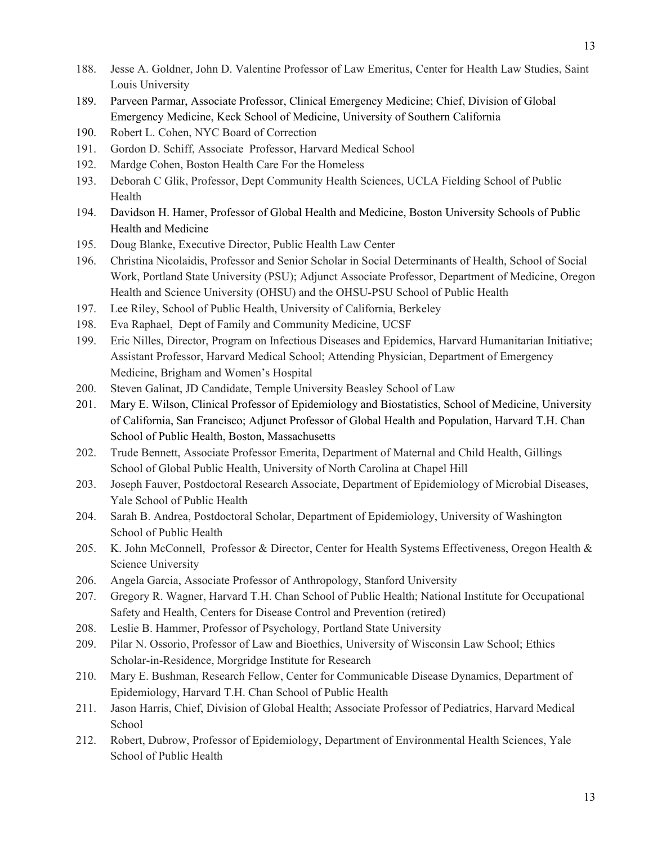- 188. Jesse A. Goldner, John D. Valentine Professor of Law Emeritus, Center for Health Law Studies, Saint Louis University
- 189. Parveen Parmar, Associate Professor, Clinical Emergency Medicine; Chief, Division of Global Emergency Medicine, Keck School of Medicine, University of Southern California
- 190. Robert L. Cohen, NYC Board of Correction
- 191. Gordon D. Schiff, Associate Professor, Harvard Medical School
- 192. Mardge Cohen, Boston Health Care For the Homeless
- 193. Deborah C Glik, Professor, Dept Community Health Sciences, UCLA Fielding School of Public Health
- 194. Davidson H. Hamer, Professor of Global Health and Medicine, Boston University Schools of Public Health and Medicine
- 195. Doug Blanke, Executive Director, Public Health Law Center
- 196. Christina Nicolaidis, Professor and Senior Scholar in Social Determinants of Health, School of Social Work, Portland State University (PSU); Adjunct Associate Professor, Department of Medicine, Oregon Health and Science University (OHSU) and the OHSU-PSU School of Public Health
- 197. Lee Riley, School of Public Health, University of California, Berkeley
- 198. Eva Raphael, Dept of Family and Community Medicine, UCSF
- 199. Eric Nilles, Director, Program on Infectious Diseases and Epidemics, Harvard Humanitarian Initiative; Assistant Professor, Harvard Medical School; Attending Physician, Department of Emergency Medicine, Brigham and Women's Hospital
- 200. Steven Galinat, JD Candidate, Temple University Beasley School of Law
- 201. Mary E. Wilson, Clinical Professor of Epidemiology and Biostatistics, School of Medicine, University of California, San Francisco; Adjunct Professor of Global Health and Population, Harvard T.H. Chan School of Public Health, Boston, Massachusetts
- 202. Trude Bennett, Associate Professor Emerita, Department of Maternal and Child Health, Gillings School of Global Public Health, University of North Carolina at Chapel Hill
- 203. Joseph Fauver, Postdoctoral Research Associate, Department of Epidemiology of Microbial Diseases, Yale School of Public Health
- 204. Sarah B. Andrea, Postdoctoral Scholar, Department of Epidemiology, University of Washington School of Public Health
- 205. K. John McConnell, Professor & Director, Center for Health Systems Effectiveness, Oregon Health & Science University
- 206. Angela Garcia, Associate Professor of Anthropology, Stanford University
- 207. Gregory R. Wagner, Harvard T.H. Chan School of Public Health; National Institute for Occupational Safety and Health, Centers for Disease Control and Prevention (retired)
- 208. Leslie B. Hammer, Professor of Psychology, Portland State University
- 209. Pilar N. Ossorio, Professor of Law and Bioethics, University of Wisconsin Law School; Ethics Scholar-in-Residence, Morgridge Institute for Research
- 210. Mary E. Bushman, Research Fellow, Center for Communicable Disease Dynamics, Department of Epidemiology, Harvard T.H. Chan School of Public Health
- 211. Jason Harris, Chief, Division of Global Health; Associate Professor of Pediatrics, Harvard Medical School
- 212. Robert, Dubrow, Professor of Epidemiology, Department of Environmental Health Sciences, Yale School of Public Health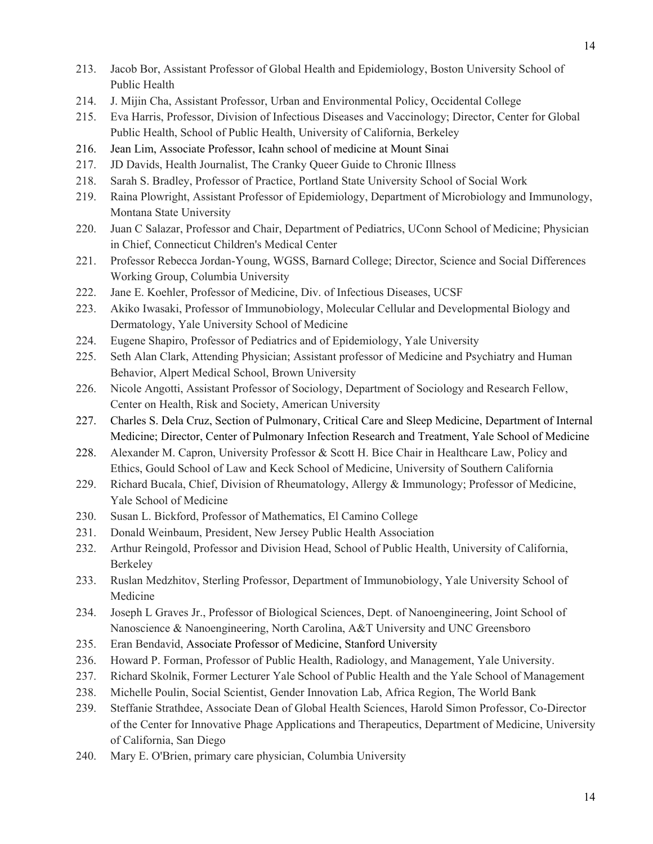- 213. Jacob Bor, Assistant Professor of Global Health and Epidemiology, Boston University School of Public Health
- 214. J. Mijin Cha, Assistant Professor, Urban and Environmental Policy, Occidental College
- 215. Eva Harris, Professor, Division of Infectious Diseases and Vaccinology; Director, Center for Global Public Health, School of Public Health, University of California, Berkeley
- 216. Jean Lim, Associate Professor, Icahn school of medicine at Mount Sinai
- 217. JD Davids, Health Journalist, The Cranky Queer Guide to Chronic Illness
- 218. Sarah S. Bradley, Professor of Practice, Portland State University School of Social Work
- 219. Raina Plowright, Assistant Professor of Epidemiology, Department of Microbiology and Immunology, Montana State University
- 220. Juan C Salazar, Professor and Chair, Department of Pediatrics, UConn School of Medicine; Physician in Chief, Connecticut Children's Medical Center
- 221. Professor Rebecca Jordan-Young, WGSS, Barnard College; Director, Science and Social Differences Working Group, Columbia University
- 222. Jane E. Koehler, Professor of Medicine, Div. of Infectious Diseases, UCSF
- 223. Akiko Iwasaki, Professor of Immunobiology, Molecular Cellular and Developmental Biology and Dermatology, Yale University School of Medicine
- 224. Eugene Shapiro, Professor of Pediatrics and of Epidemiology, Yale University
- 225. Seth Alan Clark, Attending Physician; Assistant professor of Medicine and Psychiatry and Human Behavior, Alpert Medical School, Brown University
- 226. Nicole Angotti, Assistant Professor of Sociology, Department of Sociology and Research Fellow, Center on Health, Risk and Society, American University
- 227. Charles S. Dela Cruz, Section of Pulmonary, Critical Care and Sleep Medicine, Department of Internal Medicine; Director, Center of Pulmonary Infection Research and Treatment, Yale School of Medicine
- 228. Alexander M. Capron, University Professor & Scott H. Bice Chair in Healthcare Law, Policy and Ethics, Gould School of Law and Keck School of Medicine, University of Southern California
- 229. Richard Bucala, Chief, Division of Rheumatology, Allergy & Immunology; Professor of Medicine, Yale School of Medicine
- 230. Susan L. Bickford, Professor of Mathematics, El Camino College
- 231. Donald Weinbaum, President, New Jersey Public Health Association
- 232. Arthur Reingold, Professor and Division Head, School of Public Health, University of California, Berkeley
- 233. Ruslan Medzhitov, Sterling Professor, Department of Immunobiology, Yale University School of Medicine
- 234. Joseph L Graves Jr., Professor of Biological Sciences, Dept. of Nanoengineering, Joint School of Nanoscience & Nanoengineering, North Carolina, A&T University and UNC Greensboro
- 235. Eran Bendavid, Associate Professor of Medicine, Stanford University
- 236. Howard P. Forman, Professor of Public Health, Radiology, and Management, Yale University.
- 237. Richard Skolnik, Former Lecturer Yale School of Public Health and the Yale School of Management
- 238. Michelle Poulin, Social Scientist, Gender Innovation Lab, Africa Region, The World Bank
- 239. Steffanie Strathdee, Associate Dean of Global Health Sciences, Harold Simon Professor, Co-Director of the Center for Innovative Phage Applications and Therapeutics, Department of Medicine, University of California, San Diego
- 240. Mary E. O'Brien, primary care physician, Columbia University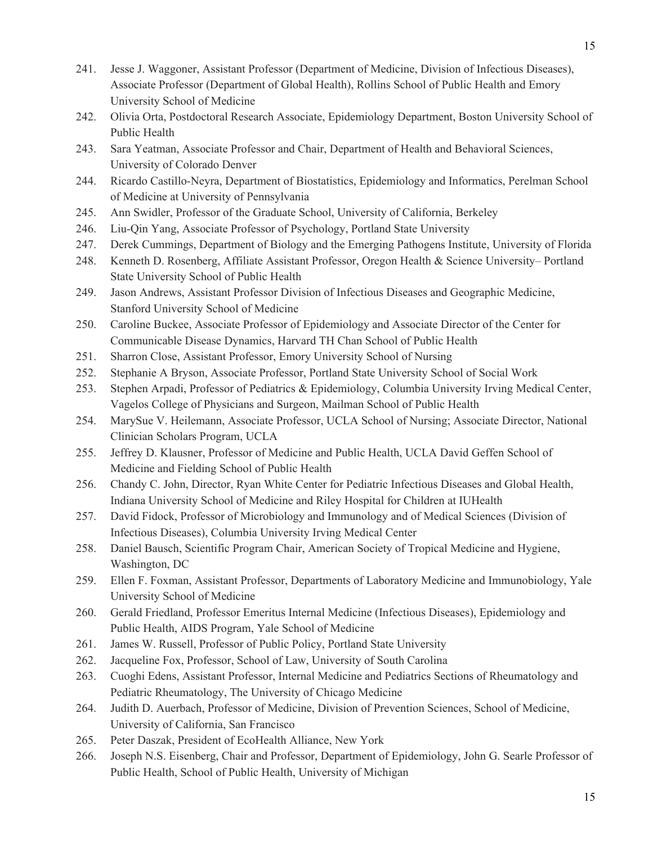- 241. Jesse J. Waggoner, Assistant Professor (Department of Medicine, Division of Infectious Diseases), Associate Professor (Department of Global Health), Rollins School of Public Health and Emory University School of Medicine
- 242. Olivia Orta, Postdoctoral Research Associate, Epidemiology Department, Boston University School of Public Health
- 243. Sara Yeatman, Associate Professor and Chair, Department of Health and Behavioral Sciences, University of Colorado Denver
- 244. Ricardo Castillo-Neyra, Department of Biostatistics, Epidemiology and Informatics, Perelman School of Medicine at University of Pennsylvania
- 245. Ann Swidler, Professor of the Graduate School, University of California, Berkeley
- 246. Liu-Qin Yang, Associate Professor of Psychology, Portland State University
- 247. Derek Cummings, Department of Biology and the Emerging Pathogens Institute, University of Florida
- 248. Kenneth D. Rosenberg, Affiliate Assistant Professor, Oregon Health & Science University– Portland State University School of Public Health
- 249. Jason Andrews, Assistant Professor Division of Infectious Diseases and Geographic Medicine, Stanford University School of Medicine
- 250. Caroline Buckee, Associate Professor of Epidemiology and Associate Director of the Center for Communicable Disease Dynamics, Harvard TH Chan School of Public Health
- 251. Sharron Close, Assistant Professor, Emory University School of Nursing
- 252. Stephanie A Bryson, Associate Professor, Portland State University School of Social Work
- 253. Stephen Arpadi, Professor of Pediatrics & Epidemiology, Columbia University Irving Medical Center, Vagelos College of Physicians and Surgeon, Mailman School of Public Health
- 254. MarySue V. Heilemann, Associate Professor, UCLA School of Nursing; Associate Director, National Clinician Scholars Program, UCLA
- 255. Jeffrey D. Klausner, Professor of Medicine and Public Health, UCLA David Geffen School of Medicine and Fielding School of Public Health
- 256. Chandy C. John, Director, Ryan White Center for Pediatric Infectious Diseases and Global Health, Indiana University School of Medicine and Riley Hospital for Children at IUHealth
- 257. David Fidock, Professor of Microbiology and Immunology and of Medical Sciences (Division of Infectious Diseases), Columbia University Irving Medical Center
- 258. Daniel Bausch, Scientific Program Chair, American Society of Tropical Medicine and Hygiene, Washington, DC
- 259. Ellen F. Foxman, Assistant Professor, Departments of Laboratory Medicine and Immunobiology, Yale University School of Medicine
- 260. Gerald Friedland, Professor Emeritus Internal Medicine (Infectious Diseases), Epidemiology and Public Health, AIDS Program, Yale School of Medicine
- 261. James W. Russell, Professor of Public Policy, Portland State University
- 262. Jacqueline Fox, Professor, School of Law, University of South Carolina
- 263. Cuoghi Edens, Assistant Professor, Internal Medicine and Pediatrics Sections of Rheumatology and Pediatric Rheumatology, The University of Chicago Medicine
- 264. Judith D. Auerbach, Professor of Medicine, Division of Prevention Sciences, School of Medicine, University of California, San Francisco
- 265. Peter Daszak, President of EcoHealth Alliance, New York
- 266. Joseph N.S. Eisenberg, Chair and Professor, Department of Epidemiology, John G. Searle Professor of Public Health, School of Public Health, University of Michigan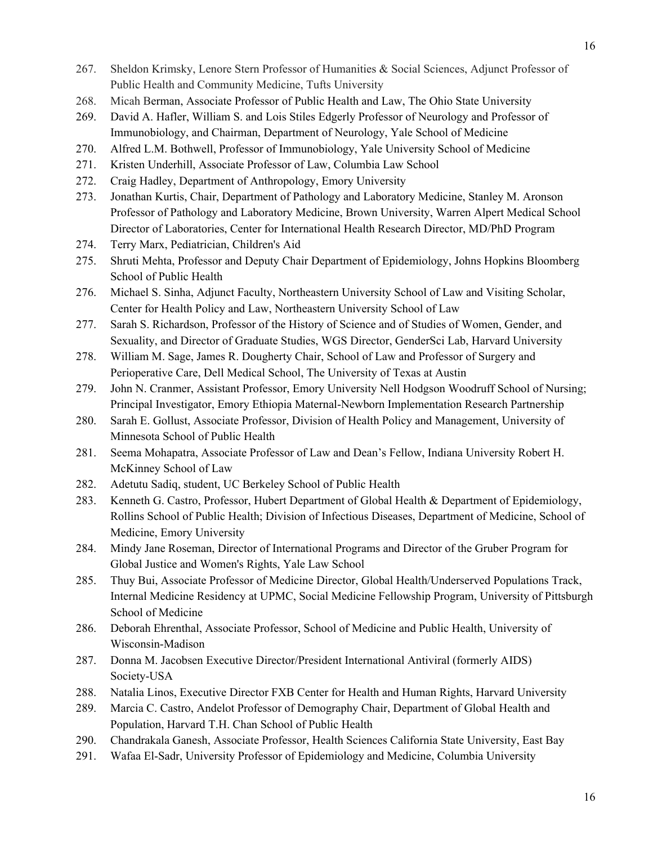- 267. Sheldon Krimsky, Lenore Stern Professor of Humanities & Social Sciences, Adjunct Professor of Public Health and Community Medicine, Tufts University
- 268. Micah Berman, Associate Professor of Public Health and Law, The Ohio State University
- 269. David A. Hafler, William S. and Lois Stiles Edgerly Professor of Neurology and Professor of Immunobiology, and Chairman, Department of Neurology, Yale School of Medicine
- 270. Alfred L.M. Bothwell, Professor of Immunobiology, Yale University School of Medicine
- 271. Kristen Underhill, Associate Professor of Law, Columbia Law School
- 272. Craig Hadley, Department of Anthropology, Emory University
- 273. Jonathan Kurtis, Chair, Department of Pathology and Laboratory Medicine, Stanley M. Aronson Professor of Pathology and Laboratory Medicine, Brown University, Warren Alpert Medical School Director of Laboratories, Center for International Health Research Director, MD/PhD Program
- 274. Terry Marx, Pediatrician, Children's Aid
- 275. Shruti Mehta, Professor and Deputy Chair Department of Epidemiology, Johns Hopkins Bloomberg School of Public Health
- 276. Michael S. Sinha, Adjunct Faculty, Northeastern University School of Law and Visiting Scholar, Center for Health Policy and Law, Northeastern University School of Law
- 277. Sarah S. Richardson, Professor of the History of Science and of Studies of Women, Gender, and Sexuality, and Director of Graduate Studies, WGS Director, GenderSci Lab, Harvard University
- 278. William M. Sage, James R. Dougherty Chair, School of Law and Professor of Surgery and Perioperative Care, Dell Medical School, The University of Texas at Austin
- 279. John N. Cranmer, Assistant Professor, Emory University Nell Hodgson Woodruff School of Nursing; Principal Investigator, Emory Ethiopia Maternal-Newborn Implementation Research Partnership
- 280. Sarah E. Gollust, Associate Professor, Division of Health Policy and Management, University of Minnesota School of Public Health
- 281. Seema Mohapatra, Associate Professor of Law and Dean's Fellow, Indiana University Robert H. McKinney School of Law
- 282. Adetutu Sadiq, student, UC Berkeley School of Public Health
- 283. Kenneth G. Castro, Professor, Hubert Department of Global Health & Department of Epidemiology, Rollins School of Public Health; Division of Infectious Diseases, Department of Medicine, School of Medicine, Emory University
- 284. Mindy Jane Roseman, Director of International Programs and Director of the Gruber Program for Global Justice and Women's Rights, Yale Law School
- 285. Thuy Bui, Associate Professor of Medicine Director, Global Health/Underserved Populations Track, Internal Medicine Residency at UPMC, Social Medicine Fellowship Program, University of Pittsburgh School of Medicine
- 286. Deborah Ehrenthal, Associate Professor, School of Medicine and Public Health, University of Wisconsin-Madison
- 287. Donna M. Jacobsen Executive Director/President International Antiviral (formerly AIDS) Society-USA
- 288. Natalia Linos, Executive Director FXB Center for Health and Human Rights, Harvard University
- 289. Marcia C. Castro, Andelot Professor of Demography Chair, Department of Global Health and Population, Harvard T.H. Chan School of Public Health
- 290. Chandrakala Ganesh, Associate Professor, Health Sciences California State University, East Bay
- 291. Wafaa El-Sadr, University Professor of Epidemiology and Medicine, Columbia University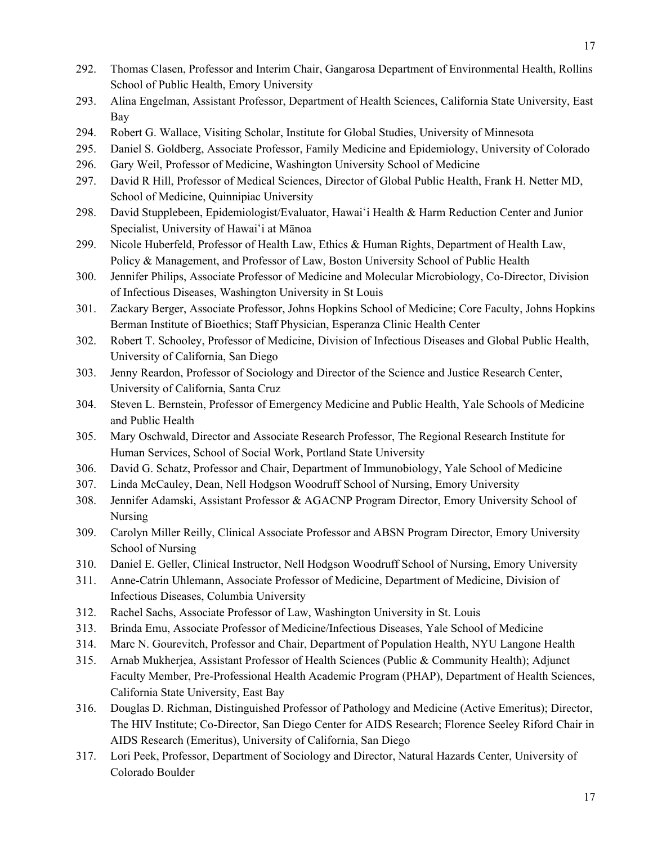- 292. Thomas Clasen, Professor and Interim Chair, Gangarosa Department of Environmental Health, Rollins School of Public Health, Emory University
- 293. Alina Engelman, Assistant Professor, Department of Health Sciences, California State University, East Bay
- 294. Robert G. Wallace, Visiting Scholar, Institute for Global Studies, University of Minnesota
- 295. Daniel S. Goldberg, Associate Professor, Family Medicine and Epidemiology, University of Colorado
- 296. Gary Weil, Professor of Medicine, Washington University School of Medicine
- 297. David R Hill, Professor of Medical Sciences, Director of Global Public Health, Frank H. Netter MD, School of Medicine, Quinnipiac University
- 298. David Stupplebeen, Epidemiologist/Evaluator, Hawaiʻi Health & Harm Reduction Center and Junior Specialist, University of Hawaiʻi at Mānoa
- 299. Nicole Huberfeld, Professor of Health Law, Ethics & Human Rights, Department of Health Law, Policy & Management, and Professor of Law, Boston University School of Public Health
- 300. Jennifer Philips, Associate Professor of Medicine and Molecular Microbiology, Co-Director, Division of Infectious Diseases, Washington University in St Louis
- 301. Zackary Berger, Associate Professor, Johns Hopkins School of Medicine; Core Faculty, Johns Hopkins Berman Institute of Bioethics; Staff Physician, Esperanza Clinic Health Center
- 302. Robert T. Schooley, Professor of Medicine, Division of Infectious Diseases and Global Public Health, University of California, San Diego
- 303. Jenny Reardon, Professor of Sociology and Director of the Science and Justice Research Center, University of California, Santa Cruz
- 304. Steven L. Bernstein, Professor of Emergency Medicine and Public Health, Yale Schools of Medicine and Public Health
- 305. Mary Oschwald, Director and Associate Research Professor, The Regional Research Institute for Human Services, School of Social Work, Portland State University
- 306. David G. Schatz, Professor and Chair, Department of Immunobiology, Yale School of Medicine
- 307. Linda McCauley, Dean, Nell Hodgson Woodruff School of Nursing, Emory University
- 308. Jennifer Adamski, Assistant Professor & AGACNP Program Director, Emory University School of Nursing
- 309. Carolyn Miller Reilly, Clinical Associate Professor and ABSN Program Director, Emory University School of Nursing
- 310. Daniel E. Geller, Clinical Instructor, Nell Hodgson Woodruff School of Nursing, Emory University
- 311. Anne-Catrin Uhlemann, Associate Professor of Medicine, Department of Medicine, Division of Infectious Diseases, Columbia University
- 312. Rachel Sachs, Associate Professor of Law, Washington University in St. Louis
- 313. Brinda Emu, Associate Professor of Medicine/Infectious Diseases, Yale School of Medicine
- 314. Marc N. Gourevitch, Professor and Chair, Department of Population Health, NYU Langone Health
- 315. Arnab Mukherjea, Assistant Professor of Health Sciences (Public & Community Health); Adjunct Faculty Member, Pre-Professional Health Academic Program (PHAP), Department of Health Sciences, California State University, East Bay
- 316. Douglas D. Richman, Distinguished Professor of Pathology and Medicine (Active Emeritus); Director, The HIV Institute; Co-Director, San Diego Center for AIDS Research; Florence Seeley Riford Chair in AIDS Research (Emeritus), University of California, San Diego
- 317. Lori Peek, Professor, Department of Sociology and Director, Natural Hazards Center, University of Colorado Boulder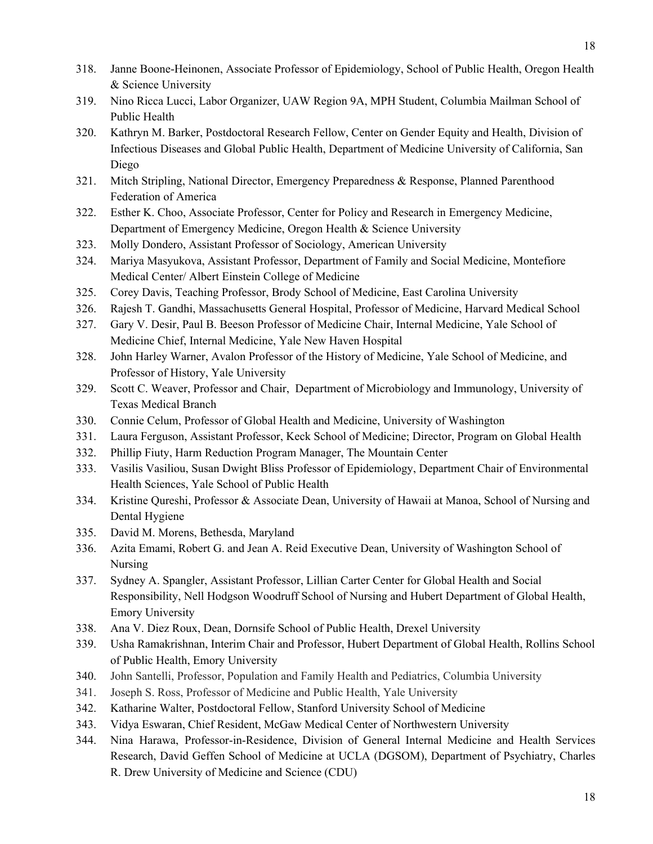- 318. Janne Boone-Heinonen, Associate Professor of Epidemiology, School of Public Health, Oregon Health & Science University
- 319. Nino Ricca Lucci, Labor Organizer, UAW Region 9A, MPH Student, Columbia Mailman School of Public Health
- 320. Kathryn M. Barker, Postdoctoral Research Fellow, Center on Gender Equity and Health, Division of Infectious Diseases and Global Public Health, Department of Medicine University of California, San Diego
- 321. Mitch Stripling, National Director, Emergency Preparedness & Response, Planned Parenthood Federation of America
- 322. Esther K. Choo, Associate Professor, Center for Policy and Research in Emergency Medicine, Department of Emergency Medicine, Oregon Health & Science University
- 323. Molly Dondero, Assistant Professor of Sociology, American University
- 324. Mariya Masyukova, Assistant Professor, Department of Family and Social Medicine, Montefiore Medical Center/ Albert Einstein College of Medicine
- 325. Corey Davis, Teaching Professor, Brody School of Medicine, East Carolina University
- 326. Rajesh T. Gandhi, Massachusetts General Hospital, Professor of Medicine, Harvard Medical School
- 327. Gary V. Desir, Paul B. Beeson Professor of Medicine Chair, Internal Medicine, Yale School of Medicine Chief, Internal Medicine, Yale New Haven Hospital
- 328. John Harley Warner, Avalon Professor of the History of Medicine, Yale School of Medicine, and Professor of History, Yale University
- 329. Scott C. Weaver, Professor and Chair, Department of Microbiology and Immunology, University of Texas Medical Branch
- 330. Connie Celum, Professor of Global Health and Medicine, University of Washington
- 331. Laura Ferguson, Assistant Professor, Keck School of Medicine; Director, Program on Global Health
- 332. Phillip Fiuty, Harm Reduction Program Manager, The Mountain Center
- 333. Vasilis Vasiliou, Susan Dwight Bliss Professor of Epidemiology, Department Chair of Environmental Health Sciences, Yale School of Public Health
- 334. Kristine Qureshi, Professor & Associate Dean, University of Hawaii at Manoa, School of Nursing and Dental Hygiene
- 335. David M. Morens, Bethesda, Maryland
- 336. Azita Emami, Robert G. and Jean A. Reid Executive Dean, University of Washington School of Nursing
- 337. Sydney A. Spangler, Assistant Professor, Lillian Carter Center for Global Health and Social Responsibility, Nell Hodgson Woodruff School of Nursing and Hubert Department of Global Health, Emory University
- 338. Ana V. Diez Roux, Dean, Dornsife School of Public Health, Drexel University
- 339. Usha Ramakrishnan, Interim Chair and Professor, Hubert Department of Global Health, Rollins School of Public Health, Emory University
- 340. John Santelli, Professor, Population and Family Health and Pediatrics, Columbia University
- 341. Joseph S. Ross, Professor of Medicine and Public Health, Yale University
- 342. Katharine Walter, Postdoctoral Fellow, Stanford University School of Medicine
- 343. Vidya Eswaran, Chief Resident, McGaw Medical Center of Northwestern University
- 344. Nina Harawa, Professor-in-Residence, Division of General Internal Medicine and Health Services Research, David Geffen School of Medicine at UCLA (DGSOM), Department of Psychiatry, Charles R. Drew University of Medicine and Science (CDU)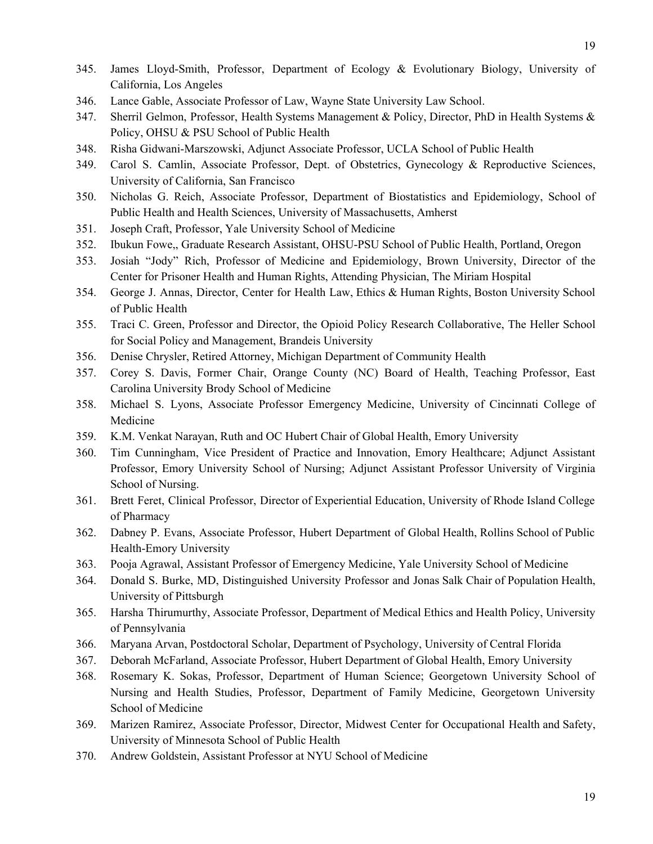- 345. James Lloyd-Smith, Professor, Department of Ecology & Evolutionary Biology, University of California, Los Angeles
- 346. Lance Gable, Associate Professor of Law, Wayne State University Law School.
- 347. Sherril Gelmon, Professor, Health Systems Management & Policy, Director, PhD in Health Systems & Policy, OHSU & PSU School of Public Health
- 348. Risha Gidwani-Marszowski, Adjunct Associate Professor, UCLA School of Public Health
- 349. Carol S. Camlin, Associate Professor, Dept. of Obstetrics, Gynecology & Reproductive Sciences, University of California, San Francisco
- 350. Nicholas G. Reich, Associate Professor, Department of Biostatistics and Epidemiology, School of Public Health and Health Sciences, University of Massachusetts, Amherst
- 351. Joseph Craft, Professor, Yale University School of Medicine
- 352. Ibukun Fowe,, Graduate Research Assistant, OHSU-PSU School of Public Health, Portland, Oregon
- 353. Josiah "Jody" Rich, Professor of Medicine and Epidemiology, Brown University, Director of the Center for Prisoner Health and Human Rights, Attending Physician, The Miriam Hospital
- 354. George J. Annas, Director, Center for Health Law, Ethics & Human Rights, Boston University School of Public Health
- 355. Traci C. Green, Professor and Director, the Opioid Policy Research Collaborative, The Heller School for Social Policy and Management, Brandeis University
- 356. Denise Chrysler, Retired Attorney, Michigan Department of Community Health
- 357. Corey S. Davis, Former Chair, Orange County (NC) Board of Health, Teaching Professor, East Carolina University Brody School of Medicine
- 358. Michael S. Lyons, Associate Professor Emergency Medicine, University of Cincinnati College of Medicine
- 359. K.M. Venkat Narayan, Ruth and OC Hubert Chair of Global Health, Emory University
- 360. Tim Cunningham, Vice President of Practice and Innovation , Emory Healthcare; Adjunct Assistant Professor, Emory University School of Nursing; Adjunct Assistant Professor University of Virginia School of Nursing.
- 361. Brett Feret, Clinical Professor, Director of Experientia l Education, University of Rhode Island College of Pharmacy
- 362. Dabney P. Evans, Associate Professor, Hubert Department of Global Health, Rollins School of Public Health-Emory University
- 363. Pooja Agrawal, Assistant Professor of Emergency Medicine, Yale University School of Medicine
- 364. Donald S. Burke, MD, Distinguished University Professor and Jonas Salk Chair of Population Health, University of Pittsburgh
- 365. Harsha Thirumurthy, Associate Professor, Department of Medical Ethics and Health Policy, University of Pennsylvania
- 366. Maryana Arvan, Postdoctoral Scholar, Department of Psychology, University of Central Florida
- 367. Deborah McFarland, Associate Professor, Hubert Department of Global Health, Emory University
- 368. Rosemary K. Sokas, Professor, Department of Human Science; Georgetown University School of Nursing and Health Studies, Professor, Department of Family Medicine, Georgetown University School of Medicine
- 369. Marizen Ramirez, Associate Professor, Director, Midwest Center for Occupational Health and Safety, University of Minnesota School of Public Health
- 370. Andrew Goldstein, Assistant Professor at NYU School of Medicine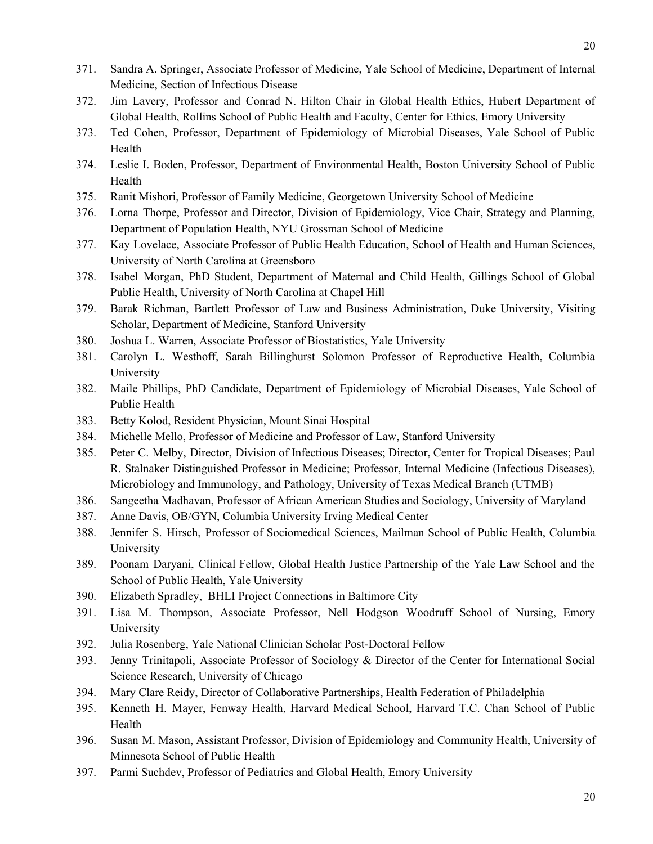- 371. Sandra A. Springer, Associate Professor of Medicine, Yale School of Medicine, Department of Internal Medicine, Section of Infectious Disease
- 372. Jim Lavery, Professor and Conrad N. Hilton Chair in Global Health Ethics, Hubert Department of Global Health, Rollins School of Public Health and Faculty, Center for Ethics, Emory University
- 373. Ted Cohen, Professor, Department of Epidemiology of Microbial Diseases, Yale School of Public Health
- 374. Leslie I. Boden, Professor, Department of Environmental Health, Boston University School of Public Health
- 375. Ranit Mishori, Professor of Family Medicine, Georgetown University School of Medicine
- 376. Lorna Thorpe, Professor and Director, Division of Epidemiology, Vice Chair, Strategy and Planning, Department of Population Health, NYU Grossman School of Medicine
- 377. Kay Lovelace, Associate Professor of Public Health Education, School of Health and Human Sciences, University of North Carolina at Greensboro
- 378. Isabel Morgan, PhD Student, Department of Maternal and Child Health, Gillings School of Global Public Health, University of North Carolina at Chapel Hill
- 379. Barak Richman, Bartlett Professor of Law and Business Administration, Duke University, Visiting Scholar, Department of Medicine, Stanford University
- 380. Joshua L. Warren, Associate Professor of Biostatistics, Yale University
- 381. Carolyn L. Westhoff, Sarah Billinghurst Solomon Professor of Reproductive Health, Columbia University
- 382. Maile Phillips, PhD Candidate, Department of Epidemiology of Microbial Diseases, Yale School of Public Health
- 383. Betty Kolod, Resident Physician, Mount Sinai Hospital
- 384. Michelle Mello, Professor of Medicine and Professor of Law, Stanford University
- 385. Peter C. Melby, Director, Division of Infectious Diseases; Director, Center for Tropical Diseases; Paul R. Stalnaker Distinguished Professor in Medicine; Professor, I nternal Medicine (Infectious Diseases), Microbiology and Immunology, and Pathology, University of Texas Medical Branch (UTMB)
- 386. Sangeetha Madhavan, Professor of African American Studies and Sociology, University of Maryland
- 387. Anne Davis, OB/GYN, Columbia University Irving Medical Center
- 388. Jennifer S. Hirsch, Professor of Sociomedical Sciences, Mailman School of Public Health, Columbia University
- 389. Poonam Daryani, Clinical Fellow, Global Health Justice Partnership of the Yale Law School and the School of Public Health, Yale University
- 390. Elizabeth Spradley, BHLI Project Connections in Baltimore City
- 391. Lisa M. Thompson, Associate Professor, Nell Hodgson Woodruff School of Nursing, Emory University
- 392. Julia Rosenberg, Yale National Clinician Scholar Post-Doctoral Fellow
- 393. Jenny Trinitapoli, Associate Professor of Sociology & Director of the Center for International Social Science Research, University of Chicago
- 394. Mary Clare Reidy, Director of Collaborative Partnerships, Health Federation of Philadelphia
- 395. Kenneth H. Mayer, Fenway Health, Harvard Medical School, Harvard T.C. Chan School of Public Health
- 396. Susan M. Mason, Assistant Professor, Division of Epidemiology and Community Health, University of Minnesota School of Public Health
- 397. Parmi Suchdev, Professor of Pediatrics and Global Health, Emory University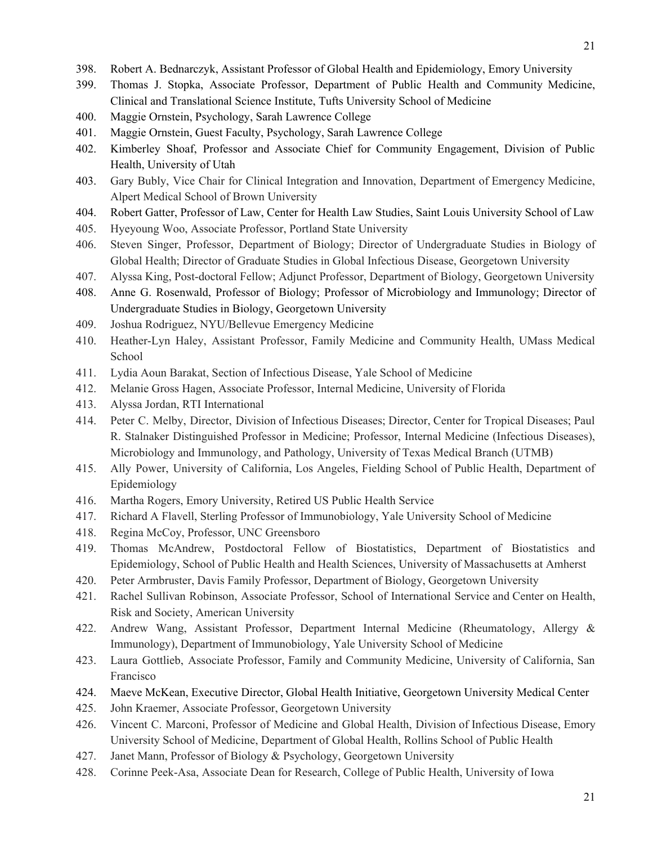- 398. Robert A. Bednarczyk, Assistant Professor of Global Health and Epidemiology, Emory University
- 399. Thomas J. Stopka, Associate Professor, Department of Public Health and Community Medicine, Clinical and Translational Science Institute, Tufts University School of Medicine
- 400. Maggie Ornstein, Psychology, Sarah Lawrence College
- 401. Maggie Ornstein, Guest Faculty, Psychology, Sarah Lawrence College
- 402. Kimberley Shoaf, Professor and Associate Chief for Community Engagement, Division of Public Health, University of Utah
- 403. Gary Bubly, Vice Chair for Clinical Integration and Innovation, Department of Emergency Medicine, Alpert Medical School of Brown University
- 404. Robert Gatter, Professor of Law, Center for Health Law Studies, Saint Louis University School of Law
- 405. Hyeyoung Woo, Associate Professor, Portland State University
- 406. Steven Singer, Professor, Department of Biology; Director of Undergraduate Studies in Biology of Global Health; Director of Graduate Studies in Global Infectious Disease, Georgetown University
- 407. Alyssa King, Post-doctoral Fellow; Adjunct Professor, Department of Biology, Georgetown University
- 408. Anne G. Rosenwald, Professor of Biology; Professor of Microbiology and Immunology; Director of Undergraduate Studies in Biology, Georgetown University
- 409. Joshua Rodriguez, NYU/Bellevue Emergency Medicine
- 410. Heather-Lyn Haley, Assistant Professor, Family Medicine and Community Health, UMass Medical School
- 411. Lydia Aoun Barakat, Section of Infectious Disease, Yale School of Medicine
- 412. Melanie Gross Hagen, Associate Professor, Internal Medicine, University of Florida
- 413. Alyssa Jordan, RTI International
- 414. Peter C. Melby, Director, Division of Infectious Diseases; Director, Center for Tropical Diseases; Paul R. Stalnaker Distinguished Professor in Medicine; Professor, I nternal Medicine (Infectious Diseases), Microbiology and Immunology, and Pathology, University of Texas Medical Branch (UTMB)
- 415. Ally Power, University of California, Los Angeles, Fielding School of Public Health, Department of Epidemiology
- 416. Martha Rogers, Emory University, Retired US Public Health Service
- 417. Richard A Flavell, Sterling Professor of Immunobiology, Yale University School of Medicine
- 418. Regina McCoy, Professor, UNC Greensboro
- 419. Thomas McAndrew, Postdoctoral Fellow of Biostatistics, Department of Biostatistics and Epidemiology, School of Public Health and Health Sciences, University of Massachusetts at Amherst
- 420. Peter Armbruster, Davis Family Professor, Department of Biology, Georgetown University
- 421. Rachel Sullivan Robinson, Associate Professor, School of International Service and Center on Health, Risk and Society, American University
- 422. Andrew Wang, Assistant Professor, Department Internal Medicine (Rheumatology, Allergy & Immunology), Department of Immunobiology, Yale University School of Medicine
- 423. Laura Gottlieb, Associate Professor, Family and Community Medicine, University of California, San Francisco
- 424. Maeve McKean, Executive Director, Global Health Initiative, Georgetown University Medical Center
- 425. John Kraemer, Associate Professor, Georgetown University
- 426. Vincent C. Marconi, Professor of Medicine and Global Health, Division of Infectious Disease, Emory University School of Medicine, Department of Global Health, Rollins School of Public Health
- 427. Janet Mann, Professor of Biology & Psychology, Georgetown University
- 428. Corinne Peek-Asa, Associate Dean for Research, College of Public Health, University of Iowa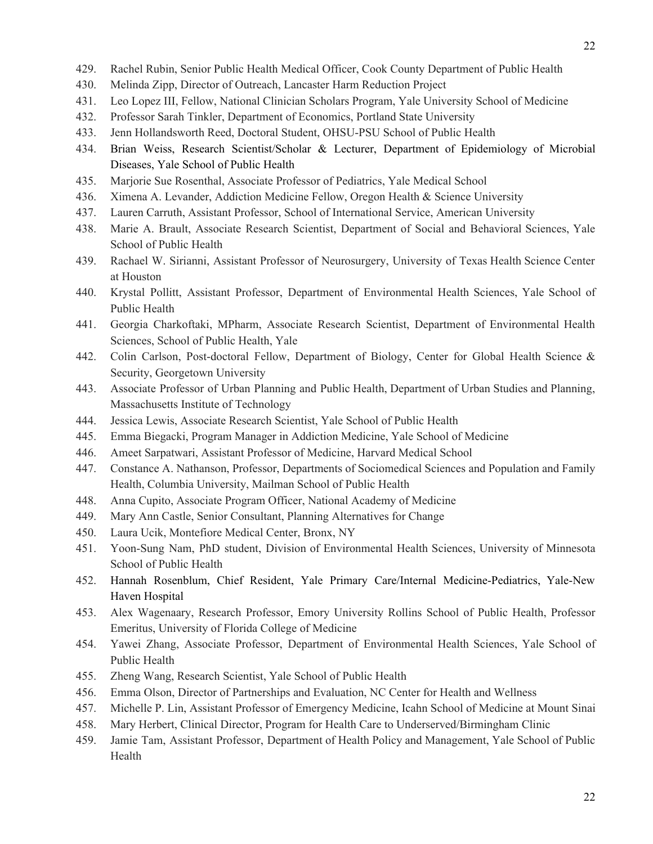- 429. Rachel Rubin, Senior Public Health Medical Officer, Cook County Department of Public Health
- 430. Melinda Zipp, Director of Outreach, Lancaster Harm Reduction Project
- 431. Leo Lopez III, Fellow, National Clinician Scholars Program, Yale University School of Medicine
- 432. Professor Sarah Tinkler, Department of Economics, Portland State University
- 433. Jenn Hollandsworth Reed, Doctoral Student, OHSU-PSU School of Public Health
- 434. Brian Weiss, Research Scientist/Scholar & Lecturer, Department of Epidemiology of Microbial Diseases, Yale School of Public Health
- 435. Marjorie Sue Rosenthal, Associate Professor of Pediatrics, Yale Medical School
- 436. Ximena A. Levander, Addiction Medicine Fellow, Oregon Health & Science University
- 437. Lauren Carruth, Assistant Professor, School of International Service, American University
- 438. Marie A. Brault, Associate Research Scientist, Department of Social and Behavioral Sciences, Yale School of Public Health
- 439. Rachael W. Sirianni, Assistant Professor of Neurosurgery, University of Texas Health Science Center at Houston
- 440. Krystal Pollitt, Assistant Professor, Department of Environmental Health Sciences, Yale School of Public Health
- 441. Georgia Charkoftaki, MPharm, Associate Research Scientist, Department of Environmental Health Sciences, School of Public Health, Yale
- 442. Colin Carlson, Post-doctoral Fellow, Department of Biology, Center for Global Health Science  $\&$ Security, Georgetown University
- 443. Associate Professor of Urban Planning and Public Health, Department of Urban Studies and Planning, Massachusetts Institute of Technology
- 444. Jessica Lewis, Associate Research Scientist, Yale School of Public Health
- 445. Emma Biegacki, Program Manager in Addiction Medicine, Yale School of Medicine
- 446. Ameet Sarpatwari, Assistant Professor of Medicine, Harvard Medical School
- 447. Constance A. Nathanson, Professor, Departments of Sociomedical Sciences and Population and Family Health, Columbia University, Mailman School of Public Health
- 448. Anna Cupito, Associate Program Officer, National Academy of Medicine
- 449. Mary Ann Castle, Senior Consultant, Planning Alternatives for Change
- 450. Laura Ucik, Montefiore Medical Center, Bronx, NY
- 451. Yoon-Sung Nam, PhD student, Division of Environmental Health Sciences, University of Minnesota School of Public Health
- 452. Hannah Rosenblum, Chief Resident, Yale Primary Care/Internal Medicine-Pediatrics, Yale-New Haven Hospital
- 453. Alex Wagenaary, Research Professor, Emory University Rollins School of Public Health, Professor Emeritus, University of Florida College of Medicine
- 454. Yawei Zhang, Associate Professor, Department of Environmental Health Sciences, Yale School of Public Health
- 455. Zheng Wang, Research Scientist, Yale School of Public Health
- 456. Emma Olson, Director of Partnerships and Evaluation, NC Center for Health and Wellness
- 457. Michelle P. Lin, Assistant Professor of Emergency Medicine, Icahn School of Medicine at Mount Sinai
- 458. Mary Herbert, Clinical Director, Program for Health Care to Underserved/Birmingham Clinic
- 459. Jamie Tam, Assistant Professor, Department of Health Policy and Management, Yale School of Public Health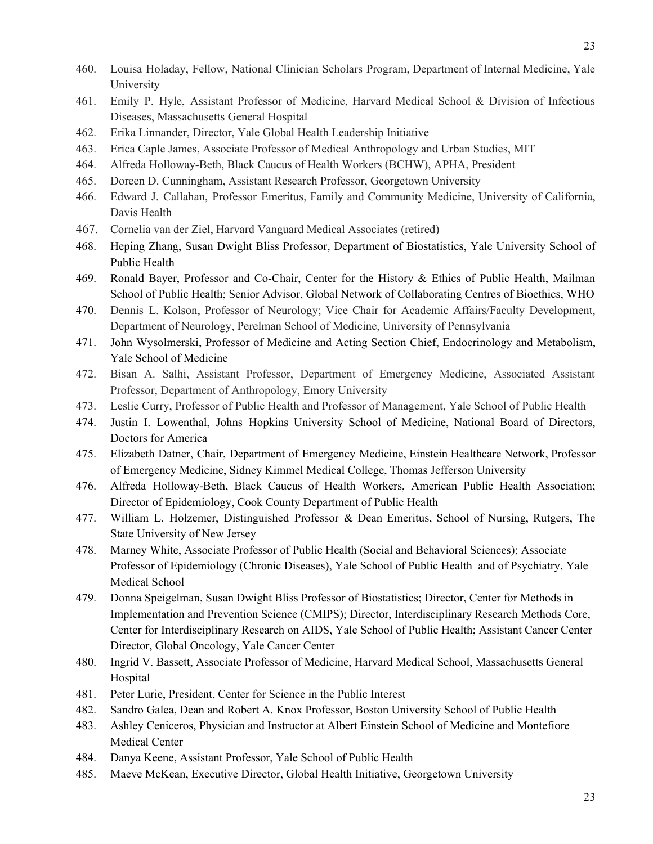- 460. Louisa Holaday, Fellow, National Clinician Scholars Program , Department of Internal Medicine, Yale University
- 461. Emily P. Hyle, Assistant Professor of Medicine, Harvard Medical School & Division of Infectious Diseases, Massachusetts General Hospital
- 462. Erika Linnander, Director, Yale Global Health Leadership Initiative
- 463. Erica Caple James, Associate Professor of Medical Anthropology and Urban Studies, MIT
- 464. Alfreda Holloway-Beth, Black Caucus of Health Workers (BCHW), APHA, President
- 465. Doreen D. Cunningham, Assistant Research Professor, Georgetown University
- 466. Edward J. Callahan, Professor Emeritus, Family and Community Medicine, University of California, Davis Health
- 467. Cornelia van der Ziel, Harvard Vanguard Medical Associates (retired)
- 468. Heping Zhang, Susan Dwight Bliss Professor, Department of Biostatistics, Yale University School of Public Health
- 469. Ronald Bayer, Professor and Co-Chair, Center for the History & Ethics of Public Health, Mailman School of Public Health; Senior Advisor, Global Network of Collaborating Centres of Bioethics, WHO
- 470. Dennis L. Kolson, Professor of Neurology; Vice Chair for Academic Affairs/Faculty Development, Department of Neurology, Perelman School of Medicine, University of Pennsylvania
- 471. John Wysolmerski, Professor of Medicine and Acting Section Chief, Endocrinology and Metabolism, Yale School of Medicine
- 472. Bisan A. Salhi, Assistant Professor, Department of Emergency Medicine, Associated Assistant Professor, Department of Anthropology, Emory University
- 473. Leslie Curry, Professor of Public Health and Professor of Management, Yale School of Public Health
- 474. Justin I. Lowenthal, Johns Hopkins University School of Medicine, National Board of Directors, Doctors for America
- 475. Elizabeth Datner, Chair, Department of Emergency Medicine, Einstein Healthcare Network, Professor of Emergency Medicine, Sidney Kimmel Medical College, Thomas Jefferson University
- 476. Alfreda Holloway-Beth, Black Caucus of Health Workers, American Public Health Association; Director of Epidemiology, Cook County Department of Public Health
- 477. William L. Holzemer, Distinguished Professor & Dean Emeritus, School of Nursing, Rutgers, The State University of New Jersey
- 478. Marney White, Associate Professor of Public Health (Social and Behavioral Sciences); Associate Professor of Epidemiology (Chronic Diseases), Yale School of Public Health and of Psychiatry, Yale Medical School
- 479. Donna Speigelman, Susan Dwight Bliss Professor of Biostatistics; Director, Center for Methods in Implementation and Prevention Science (CMIPS); Director, Interdisciplinary Research Methods Core, Center for Interdisciplinary Research on AIDS, Yale School of Public Health; Assistant Cancer Center Director, Global Oncology, Yale Cancer Center
- 480. Ingrid V. Bassett, Associate Professor of Medicine, Harvard Medical School, Massachusetts General Hospital
- 481. Peter Lurie, President, Center for Science in the Public Interest
- 482. Sandro Galea, Dean and Robert A. Knox Professor, Boston University School of Public Health
- 483. Ashley Ceniceros, Physician and Instructor at Albert Einstein School of Medicine and Montefiore Medical Center
- 484. Danya Keene, Assistant Professor, Yale School of Public Health
- 485. Maeve McKean, Executive Director, Global Health Initiative, Georgetown University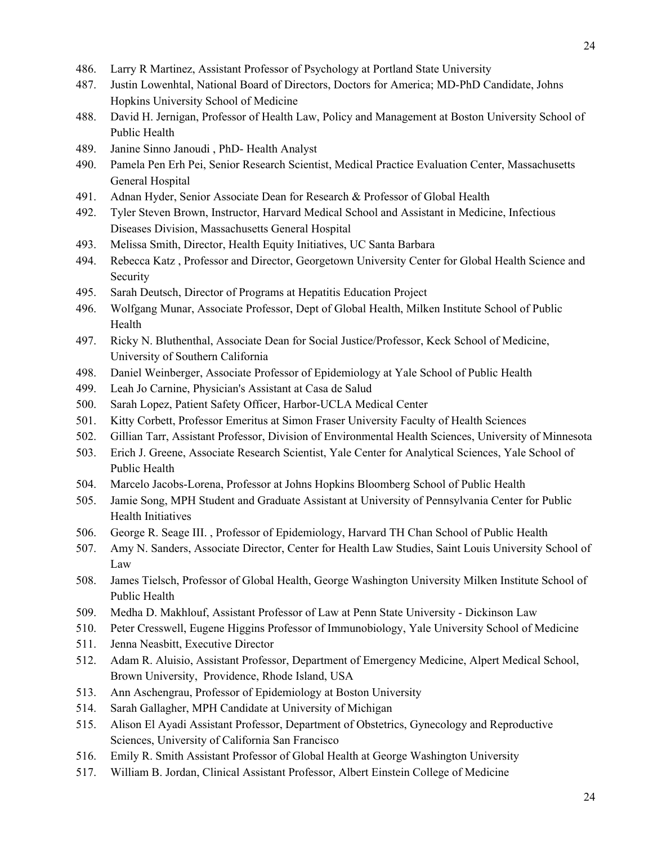- 486. Larry R Martinez, Assistant Professor of Psychology at Portland State University
- 487. Justin Lowenhtal, National Board of Directors, Doctors for America; MD-PhD Candidate, Johns Hopkins University School of Medicine
- 488. David H. Jernigan, Professor of Health Law, Policy and Management at Boston University School of Public Health
- 489. Janine Sinno Janoudi , PhD- Health Analyst
- 490. Pamela Pen Erh Pei, Senior Research Scientist, Medical Practice Evaluation Center, Massachusetts General Hospital
- 491. Adnan Hyder, Senior Associate Dean for Research & Professor of Global Health
- 492. Tyler Steven Brown, Instructor, Harvard Medical School and Assistant in Medicine, Infectious Diseases Division, Massachusetts General Hospital
- 493. Melissa Smith, Director, Health Equity Initiatives, UC Santa Barbara
- 494. Rebecca Katz , Professor and Director, Georgetown University Center for Global Health Science and Security
- 495. Sarah Deutsch, Director of Programs at Hepatitis Education Project
- 496. Wolfgang Munar, Associate Professor, Dept of Global Health, Milken Institute School of Public Health
- 497. Ricky N. Bluthenthal, Associate Dean for Social Justice/Professor, Keck School of Medicine, University of Southern California
- 498. Daniel Weinberger, Associate Professor of Epidemiology at Yale School of Public Health
- 499. Leah Jo Carnine, Physician's Assistant at Casa de Salud
- 500. Sarah Lopez, Patient Safety Officer, Harbor-UCLA Medical Center
- 501. Kitty Corbett, Professor Emeritus at Simon Fraser University Faculty of Health Sciences
- 502. Gillian Tarr, Assistant Professor, Division of Environmental Health Sciences, University of Minnesota
- 503. Erich J. Greene, Associate Research Scientist, Yale Center for Analytical Sciences, Yale School of Public Health
- 504. Marcelo Jacobs-Lorena, Professor at Johns Hopkins Bloomberg School of Public Health
- 505. Jamie Song, MPH Student and Graduate Assistant at University of Pennsylvania Center for Public Health Initiatives
- 506. George R. Seage III. , Professor of Epidemiology, Harvard TH Chan School of Public Health
- 507. Amy N. Sanders, Associate Director, Center for Health Law Studies, Saint Louis University School of Law
- 508. James Tielsch, Professor of Global Health, George Washington University Milken Institute School of Public Health
- 509. Medha D. Makhlouf, Assistant Professor of Law at Penn State University Dickinson Law
- 510. Peter Cresswell, Eugene Higgins Professor of Immunobiology, Yale University School of Medicine
- 511. Jenna Neasbitt, Executive Director
- 512. Adam R. Aluisio, Assistant Professor, Department of Emergency Medicine, Alpert Medical School, Brown University, Providence, Rhode Island, USA
- 513. Ann Aschengrau, Professor of Epidemiology at Boston University
- 514. Sarah Gallagher, MPH Candidate at University of Michigan
- 515. Alison El Ayadi Assistant Professor, Department of Obstetrics, Gynecology and Reproductive Sciences, University of California San Francisco
- 516. Emily R. Smith Assistant Professor of Global Health at George Washington University
- 517. William B. Jordan, Clinical Assistant Professor, Albert Einstein College of Medicine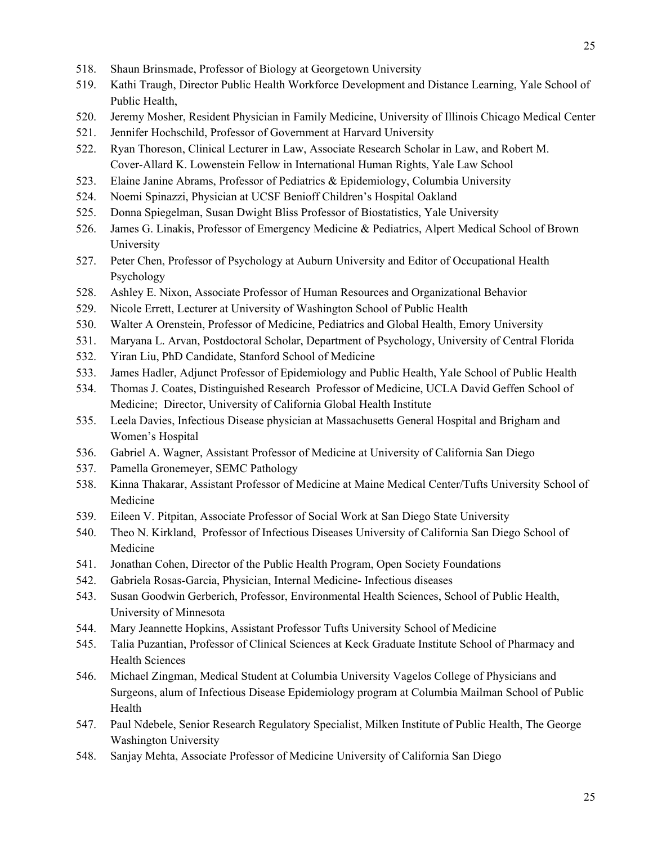- 518. Shaun Brinsmade, Professor of Biology at Georgetown University
- 519. Kathi Traugh, Director Public Health Workforce Development and Distance Learning, Yale School of Public Health,
- 520. Jeremy Mosher, Resident Physician in Family Medicine, University of Illinois Chicago Medical Center
- 521. Jennifer Hochschild, Professor of Government at Harvard University
- 522. Ryan Thoreson, Clinical Lecturer in Law, Associate Research Scholar in Law, and Robert M. Cover-Allard K. Lowenstein Fellow in International Human Rights, Yale Law School
- 523. Elaine Janine Abrams, Professor of Pediatrics & Epidemiology, Columbia University
- 524. Noemi Spinazzi, Physician at UCSF Benioff Children's Hospital Oakland
- 525. Donna Spiegelman, Susan Dwight Bliss Professor of Biostatistics, Yale University
- 526. James G. Linakis, Professor of Emergency Medicine & Pediatrics, Alpert Medical School of Brown University
- 527. Peter Chen, Professor of Psychology at Auburn University and Editor of Occupational Health Psychology
- 528. Ashley E. Nixon, Associate Professor of Human Resources and Organizational Behavior
- 529. Nicole Errett, Lecturer at University of Washington School of Public Health
- 530. Walter A Orenstein, Professor of Medicine, Pediatrics and Global Health, Emory University
- 531. Maryana L. Arvan, Postdoctoral Scholar, Department of Psychology, University of Central Florida
- 532. Yiran Liu, PhD Candidate, Stanford School of Medicine
- 533. James Hadler, Adjunct Professor of Epidemiology and Public Health, Yale School of Public Health
- 534. Thomas J. Coates, Distinguished Research Professor of Medicine, UCLA David Geffen School of Medicine; Director, University of California Global Health Institute
- 535. Leela Davies, Infectious Disease physician at Massachusetts General Hospital and Brigham and Women's Hospital
- 536. Gabriel A. Wagner, Assistant Professor of Medicine at University of California San Diego
- 537. Pamella Gronemeyer, SEMC Pathology
- 538. Kinna Thakarar, Assistant Professor of Medicine at Maine Medical Center/Tufts University School of Medicine
- 539. Eileen V. Pitpitan, Associate Professor of Social Work at San Diego State University
- 540. Theo N. Kirkland, Professor of Infectious Diseases University of California San Diego School of Medicine
- 541. Jonathan Cohen, Director of the Public Health Program, Open Society Foundations
- 542. Gabriela Rosas-Garcia, Physician, Internal Medicine- Infectious diseases
- 543. Susan Goodwin Gerberich, Professor, Environmental Health Sciences, School of Public Health, University of Minnesota
- 544. Mary Jeannette Hopkins, Assistant Professor Tufts University School of Medicine
- 545. Talia Puzantian, Professor of Clinical Sciences at Keck Graduate Institute School of Pharmacy and Health Sciences
- 546. Michael Zingman, Medical Student at Columbia University Vagelos College of Physicians and Surgeons, alum of Infectious Disease Epidemiology program at Columbia Mailman School of Public Health
- 547. Paul Ndebele, Senior Research Regulatory Specialist, Milken Institute of Public Health, The George Washington University
- 548. Sanjay Mehta, Associate Professor of Medicine University of California San Diego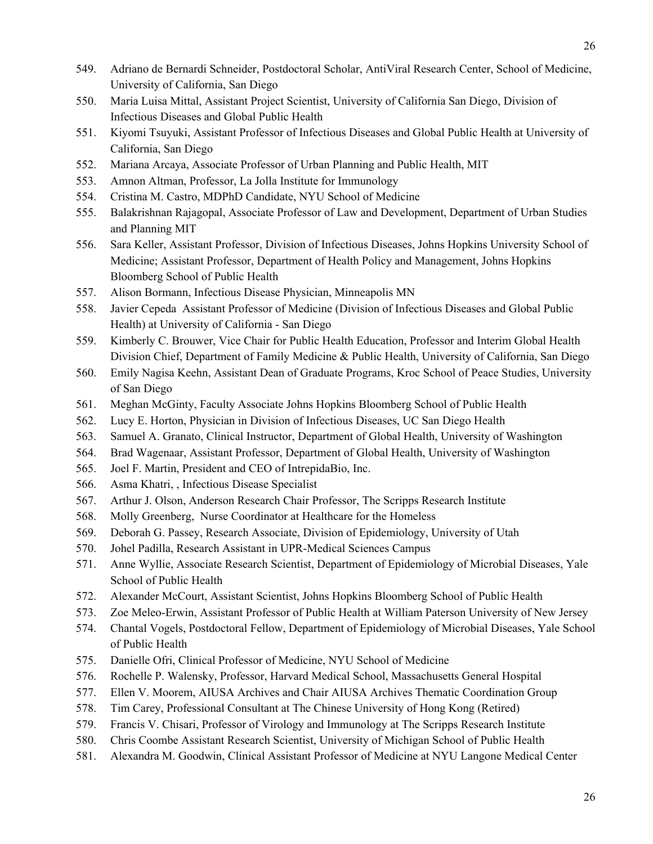- 549. Adriano de Bernardi Schneider, Postdoctoral Scholar, AntiViral Research Center, School of Medicine, University of California, San Diego
- 550. Maria Luisa Mittal, Assistant Project Scientist, University of California San Diego, Division of Infectious Diseases and Global Public Health
- 551. Kiyomi Tsuyuki, Assistant Professor of Infectious Diseases and Global Public Health at University of California, San Diego
- 552. Mariana Arcaya, Associate Professor of Urban Planning and Public Health, MIT
- 553. Amnon Altman, Professor, La Jolla Institute for Immunology
- 554. Cristina M. Castro, MDPhD Candidate, NYU School of Medicine
- 555. Balakrishnan Rajagopal, Associate Professor of Law and Development, Department of Urban Studies and Planning MIT
- 556. Sara Keller, Assistant Professor, Division of Infectious Diseases, Johns Hopkins University School of Medicine; Assistant Professor, Department of Health Policy and Management, Johns Hopkins Bloomberg School of Public Health
- 557. Alison Bormann, Infectious Disease Physician, Minneapolis MN
- 558. Javier Cepeda Assistant Professor of Medicine (Division of Infectious Diseases and Global Public Health) at University of California - San Diego
- 559. Kimberly C. Brouwer, Vice Chair for Public Health Education, Professor and Interim Global Health Division Chief, Department of Family Medicine & Public Health, University of California, San Diego
- 560. Emily Nagisa Keehn, Assistant Dean of Graduate Programs, Kroc School of Peace Studies, University of San Diego
- 561. Meghan McGinty, Faculty Associate Johns Hopkins Bloomberg School of Public Health
- 562. Lucy E. Horton, Physician in Division of Infectious Diseases, UC San Diego Health
- 563. Samuel A. Granato, Clinical Instructor, Department of Global Health, University of Washington
- 564. Brad Wagenaar, Assistant Professor, Department of Global Health, University of Washington
- 565. Joel F. Martin, President and CEO of IntrepidaBio, Inc.
- 566. Asma Khatri, , Infectious Disease Specialist
- 567. Arthur J. Olson, Anderson Research Chair Professor, The Scripps Research Institute
- 568. Molly Greenberg, Nurse Coordinator at Healthcare for the Homeless
- 569. Deborah G. Passey, Research Associate, Division of Epidemiology, University of Utah
- 570. Johel Padilla, Research Assistant in UPR-Medical Sciences Campus
- 571. Anne Wyllie, Associate Research Scientist, Department of Epidemiology of Microbial Diseases, Yale School of Public Health
- 572. Alexander McCourt, Assistant Scientist, Johns Hopkins Bloomberg School of Public Health
- 573. Zoe Meleo-Erwin, Assistant Professor of Public Health at William Paterson University of New Jersey
- 574. Chantal Vogels, Postdoctoral Fellow, Department of Epidemiology of Microbial Diseases, Yale School of Public Health
- 575. Danielle Ofri, Clinical Professor of Medicine, NYU School of Medicine
- 576. Rochelle P. Walensky, Professor, Harvard Medical School, Massachusetts General Hospital
- 577. Ellen V. Moorem, AIUSA Archives and Chair AIUSA Archives Thematic Coordination Group
- 578. Tim Carey, Professional Consultant at The Chinese University of Hong Kong (Retired)
- 579. Francis V. Chisari, Professor of Virology and Immunology at The Scripps Research Institute
- 580. Chris Coombe Assistant Research Scientist, University of Michigan School of Public Health
- 581. Alexandra M. Goodwin, Clinical Assistant Professor of Medicine at NYU Langone Medical Center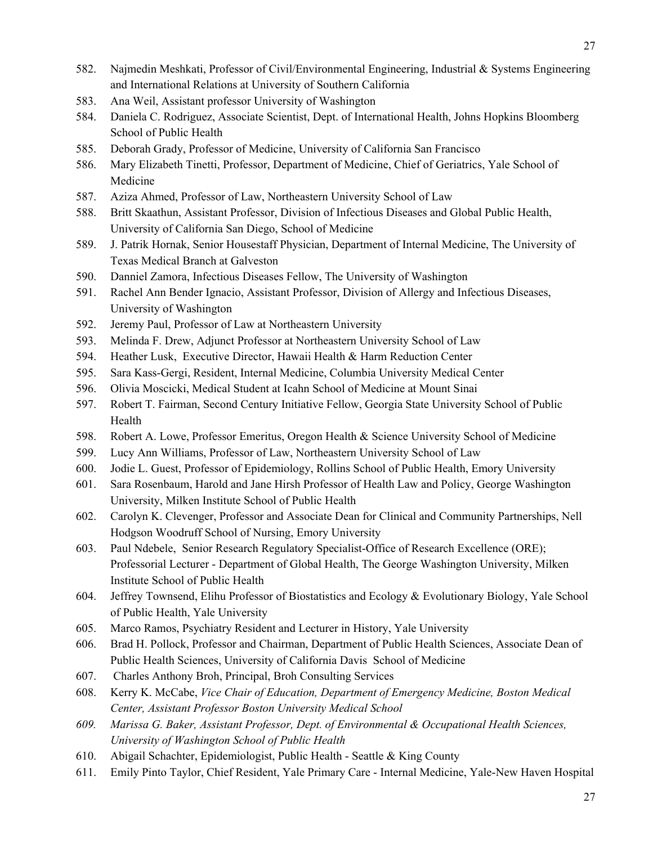- 582. Najmedin Meshkati, Professor of Civil/Environmental Engineering, Industrial & Systems Engineering
	- and International Relations at University of Southern California
- 583. Ana Weil, Assistant professor University of Washington
- 584. Daniela C. Rodriguez, Associate Scientist, Dept. of International Health, Johns Hopkins Bloomberg School of Public Health
- 585. Deborah Grady, Professor of Medicine, University of California San Francisco
- 586. Mary Elizabeth Tinetti, Professor, Department of Medicine, Chief of Geriatrics, Yale School of Medicine
- 587. Aziza Ahmed, Professor of Law, Northeastern University School of Law
- 588. Britt Skaathun, Assistant Professor, Division of Infectious Diseases and Global Public Health, University of California San Diego, School of Medicine
- 589. J. Patrik Hornak, Senior Housestaff Physician, Department of Internal Medicine, The University of Texas Medical Branch at Galveston
- 590. Danniel Zamora, Infectious Diseases Fellow, The University of Washington
- 591. Rachel Ann Bender Ignacio, Assistant Professor, Division of Allergy and Infectious Diseases, University of Washington
- 592. Jeremy Paul, Professor of Law at Northeastern University
- 593. Melinda F. Drew, Adjunct Professor at Northeastern University School of Law
- 594. Heather Lusk, Executive Director, Hawaii Health & Harm Reduction Center
- 595. Sara Kass-Gergi, Resident, Internal Medicine, Columbia University Medical Center
- 596. Olivia Moscicki, Medical Student at Icahn School of Medicine at Mount Sinai
- 597. Robert T. Fairman, Second Century Initiative Fellow, Georgia State University School of Public Health
- 598. Robert A. Lowe, Professor Emeritus, Oregon Health & Science University School of Medicine
- 599. Lucy Ann Williams, Professor of Law, Northeastern University School of Law
- 600. Jodie L. Guest, Professor of Epidemiology, Rollins School of Public Health, Emory University
- 601. Sara Rosenbaum, Harold and Jane Hirsh Professor of Health Law and Policy, George Washington University, Milken Institute School of Public Health
- 602. Carolyn K. Clevenger, Professor and Associate Dean for Clinical and Community Partnerships, Nell Hodgson Woodruff School of Nursing, Emory University
- 603. Paul Ndebele, Senior Research Regulatory Specialist-Office of Research Excellence (ORE); Professorial Lecturer - Department of Global Health, The George Washington University, Milken Institute School of Public Health
- 604. Jeffrey Townsend, Elihu Professor of Biostatistics and Ecology & Evolutionary Biology, Yale School of Public Health, Yale University
- 605. Marco Ramos, Psychiatry Resident and Lecturer in History, Yale University
- 606. Brad H. Pollock, Professor and Chairman, Department of Public Health Sciences, Associate Dean of Public Health Sciences, University of California Davis School of Medicine
- 607. Charles Anthony Broh, Principal, Broh Consulting Services
- 608. Kerry K. McCabe, *Vice Chair of Education, Department of Emergency Medicine, Boston Medical Center, Assistant Professor Boston University Medical School*
- *609. Marissa G. Baker, Assistant Professor, Dept. of Environmental & Occupational Health Sciences, University of Washington School of Public Health*
- 610. Abigail Schachter, Epidemiologist, Public Health Seattle & King County
- 611. Emily Pinto Taylor, Chief Resident, Yale Primary Care Internal Medicine, Yale-New Haven Hospital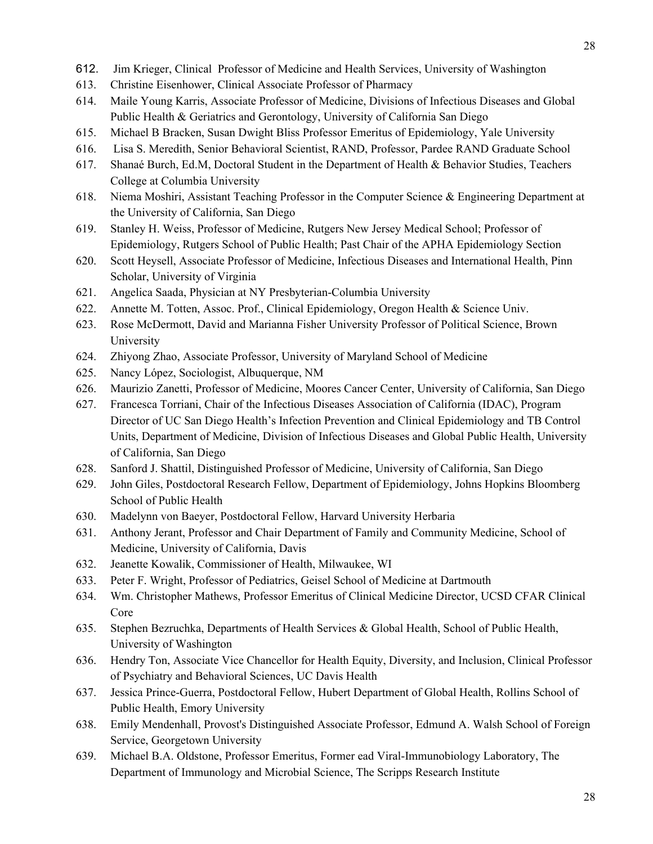- 612. Jim Krieger, Clinical Professor of Medicine and Health Services, University of Washington
- 613. Christine Eisenhower, Clinical Associate Professor of Pharmacy
- 614. Maile Young Karris, Associate Professor of Medicine, Divisions of Infectious Diseases and Global Public Health & Geriatrics and Gerontology, University of California San Diego
- 615. Michael B Bracken, Susan Dwight Bliss Professor Emeritus of Epidemiology, Yale University
- 616. Lisa S. Meredith, Senior Behavioral Scientist, RAND, Professor, Pardee RAND Graduate School
- 617. Shanaé Burch, Ed.M, Doctoral Student in the Department of Health & Behavior Studies, Teachers College at Columbia University
- 618. Niema Moshiri, Assistant Teaching Professor in the Computer Science & Engineering Department at the University of California, San Diego
- 619. Stanley H. Weiss, Professor of Medicine, Rutgers New Jersey Medical School; Professor of Epidemiology, Rutgers School of Public Health; Past Chair of the APHA Epidemiology Section
- 620. Scott Heysell, Associate Professor of Medicine, Infectious Diseases and International Health, Pinn Scholar, University of Virginia
- 621. Angelica Saada, Physician at NY Presbyterian-Columbia University
- 622. Annette M. Totten, Assoc. Prof., Clinical Epidemiology, Oregon Health & Science Univ.
- 623. Rose McDermott, David and Marianna Fisher University Professor of Political Science, Brown University
- 624. Zhiyong Zhao, Associate Professor, University of Maryland School of Medicine
- 625. Nancy López, Sociologist, Albuquerque, NM
- 626. Maurizio Zanetti, Professor of Medicine, Moores Cancer Center, University of California, San Diego
- 627. Francesca Torriani, Chair of the Infectious Diseases Association of California (IDAC), Program Director of UC San Diego Health's Infection Prevention and Clinical Epidemiology and TB Control Units, Department of Medicine, Division of Infectious Diseases and Global Public Health, University of California, San Diego
- 628. Sanford J. Shattil, Distinguished Professor of Medicine, University of California, San Diego
- 629. John Giles, Postdoctoral Research Fellow, Department of Epidemiology, Johns Hopkins Bloomberg School of Public Health
- 630. Madelynn von Baeyer, Postdoctoral Fellow, Harvard University Herbaria
- 631. Anthony Jerant, Professor and Chair Department of Family and Community Medicine, School of Medicine, University of California, Davis
- 632. Jeanette Kowalik, Commissioner of Health, Milwaukee, WI
- 633. Peter F. Wright, Professor of Pediatrics, Geisel School of Medicine at Dartmouth
- 634. Wm. Christopher Mathews, Professor Emeritus of Clinical Medicine Director, UCSD CFAR Clinical Core
- 635. Stephen Bezruchka, Departments of Health Services & Global Health, School of Public Health, University of Washington
- 636. Hendry Ton, Associate Vice Chancellor for Health Equity, Diversity, and Inclusion, Clinical Professor of Psychiatry and Behavioral Sciences, UC Davis Health
- 637. Jessica Prince-Guerra, Postdoctoral Fellow, Hubert Department of Global Health, Rollins School of Public Health, Emory University
- 638. Emily Mendenhall, Provost's Distinguished Associate Professor, Edmund A. Walsh School of Foreign Service, Georgetown University
- 639. Michael B.A. Oldstone, Professor Emeritus, Former ead Viral-Immunobiology Laboratory, The Department of Immunology and Microbial Science, The Scripps Research Institute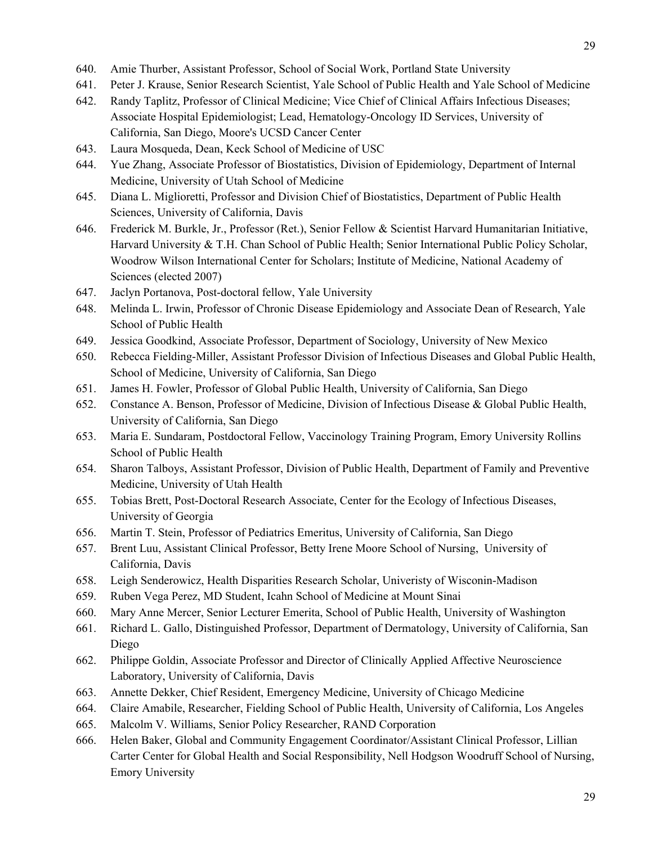- 640. Amie Thurber, Assistant Professor, School of Social Work, Portland State University
- 641. Peter J. Krause, Senior Research Scientist, Yale School of Public Health and Yale School of Medicine
- 642. Randy Taplitz, Professor of Clinical Medicine; Vice Chief of Clinical Affairs Infectious Diseases; Associate Hospital Epidemiologist; Lead, Hematology-Oncology ID Services, University of California, San Diego, Moore's UCSD Cancer Center
- 643. Laura Mosqueda, Dean, Keck School of Medicine of USC
- 644. Yue Zhang, Associate Professor of Biostatistics, Division of Epidemiology, Department of Internal Medicine, University of Utah School of Medicine
- 645. Diana L. Miglioretti, Professor and Division Chief of Biostatistics, Department of Public Health Sciences, University of California, Davis
- 646. Frederick M. Burkle, Jr., Professor (Ret.), Senior Fellow & Scientist Harvard Humanitarian Initiative, Harvard University & T.H. Chan School of Public Health; Senior International Public Policy Scholar, Woodrow Wilson International Center for Scholars; Institute of Medicine, National Academy of Sciences (elected 2007)
- 647. Jaclyn Portanova, Post-doctoral fellow, Yale University
- 648. Melinda L. Irwin, Professor of Chronic Disease Epidemiology and Associate Dean of Research, Yale School of Public Health
- 649. Jessica Goodkind, Associate Professor, Department of Sociology, University of New Mexico
- 650. Rebecca Fielding-Miller, Assistant Professor Division of Infectious Diseases and Global Public Health, School of Medicine, University of California, San Diego
- 651. James H. Fowler, Professor of Global Public Health, University of California, San Diego
- 652. Constance A. Benson, Professor of Medicine, Division of Infectious Disease & Global Public Health, University of California, San Diego
- 653. Maria E. Sundaram, Postdoctoral Fellow, Vaccinology Training Program, Emory University Rollins School of Public Health
- 654. Sharon Talboys, Assistant Professor, Division of Public Health, Department of Family and Preventive Medicine, University of Utah Health
- 655. Tobias Brett, Post-Doctoral Research Associate, Center for the Ecology of Infectious Diseases, University of Georgia
- 656. Martin T. Stein, Professor of Pediatrics Emeritus, University of California, San Diego
- 657. Brent Luu, Assistant Clinical Professor, Betty Irene Moore School of Nursing, University of California, Davis
- 658. Leigh Senderowicz, Health Disparities Research Scholar, Univeristy of Wisconin-Madison
- 659. Ruben Vega Perez, MD Student, Icahn School of Medicine at Mount Sinai
- 660. Mary Anne Mercer, Senior Lecturer Emerita, School of Public Health, University of Washington
- 661. Richard L. Gallo, Distinguished Professor, Department of Dermatology, University of California, San Diego
- 662. Philippe Goldin, Associate Professor and Director of Clinically Applied Affective Neuroscience Laboratory, University of California, Davis
- 663. Annette Dekker, Chief Resident, Emergency Medicine, University of Chicago Medicine
- 664. Claire Amabile, Researcher, Fielding School of Public Health, University of California, Los Angeles
- 665. Malcolm V. Williams, Senior Policy Researcher, RAND Corporation
- 666. Helen Baker, Global and Community Engagement Coordinator/Assistant Clinical Professor, Lillian Carter Center for Global Health and Social Responsibility, Nell Hodgson Woodruff School of Nursing, Emory University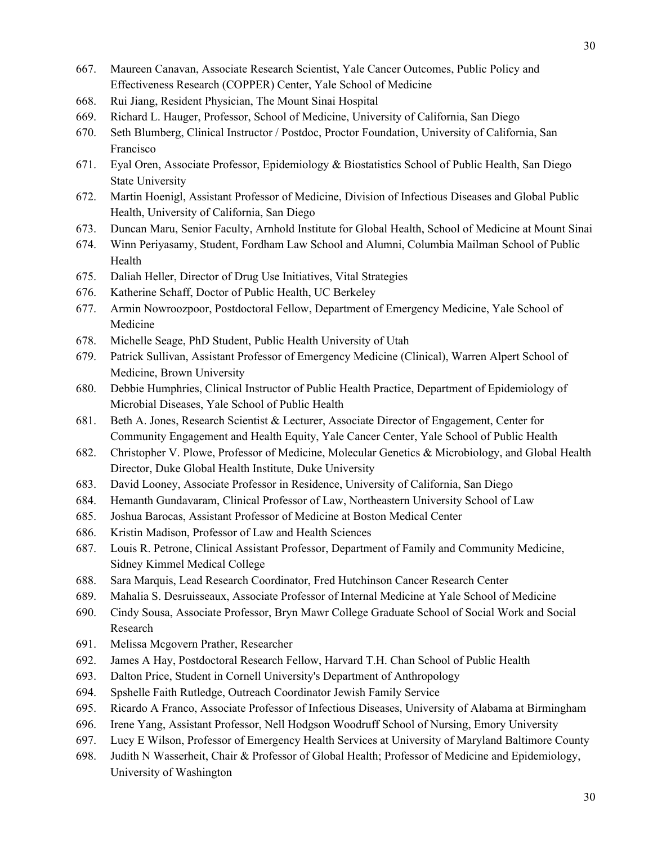- 667. Maureen Canavan, Associate Research Scientist, Yale Cancer Outcomes, Public Policy and Effectiveness Research (COPPER) Center, Yale School of Medicine
- 668. Rui Jiang, Resident Physician, The Mount Sinai Hospital
- 669. Richard L. Hauger, Professor, School of Medicine, University of California, San Diego
- 670. Seth Blumberg, Clinical Instructor / Postdoc, Proctor Foundation, University of California, San Francisco
- 671. Eyal Oren, Associate Professor, Epidemiology & Biostatistics School of Public Health, San Diego State University
- 672. Martin Hoenigl, Assistant Professor of Medicine, Division of Infectious Diseases and Global Public Health, University of California, San Diego
- 673. Duncan Maru, Senior Faculty, Arnhold Institute for Global Health, School of Medicine at Mount Sinai
- 674. Winn Periyasamy, Student, Fordham Law School and Alumni, Columbia Mailman School of Public Health
- 675. Daliah Heller, Director of Drug Use Initiatives, Vital Strategies
- 676. Katherine Schaff, Doctor of Public Health, UC Berkeley
- 677. Armin Nowroozpoor, Postdoctoral Fellow, Department of Emergency Medicine, Yale School of Medicine
- 678. Michelle Seage, PhD Student, Public Health University of Utah
- 679. Patrick Sullivan, Assistant Professor of Emergency Medicine (Clinical), Warren Alpert School of Medicine, Brown University
- 680. Debbie Humphries, Clinical Instructor of Public Health Practice, Department of Epidemiology of Microbial Diseases, Yale School of Public Health
- 681. Beth A. Jones, Research Scientist & Lecturer, Associate Director of Engagement, Center for Community Engagement and Health Equity, Yale Cancer Center, Yale School of Public Health
- 682. Christopher V. Plowe, Professor of Medicine, Molecular Genetics & Microbiology, and Global Health Director, Duke Global Health Institute, Duke University
- 683. David Looney, Associate Professor in Residence, University of California, San Diego
- 684. Hemanth Gundavaram, Clinical Professor of Law, Northeastern University School of Law
- 685. Joshua Barocas, Assistant Professor of Medicine at Boston Medical Center
- 686. Kristin Madison, Professor of Law and Health Sciences
- 687. Louis R. Petrone, Clinical Assistant Professor, Department of Family and Community Medicine, Sidney Kimmel Medical College
- 688. Sara Marquis, Lead Research Coordinator, Fred Hutchinson Cancer Research Center
- 689. Mahalia S. Desruisseaux, Associate Professor of Internal Medicine at Yale School of Medicine
- 690. Cindy Sousa, Associate Professor, Bryn Mawr College Graduate School of Social Work and Social Research
- 691. Melissa Mcgovern Prather, Researcher
- 692. James A Hay, Postdoctoral Research Fellow, Harvard T.H. Chan School of Public Health
- 693. Dalton Price, Student in Cornell University's Department of Anthropology
- 694. Spshelle Faith Rutledge, Outreach Coordinator Jewish Family Service
- 695. Ricardo A Franco, Associate Professor of Infectious Diseases, University of Alabama at Birmingham
- 696. Irene Yang, Assistant Professor, Nell Hodgson Woodruff School of Nursing, Emory University
- 697. Lucy E Wilson, Professor of Emergency Health Services at University of Maryland Baltimore County
- 698. Judith N Wasserheit, Chair & Professor of Global Health; Professor of Medicine and Epidemiology, University of Washington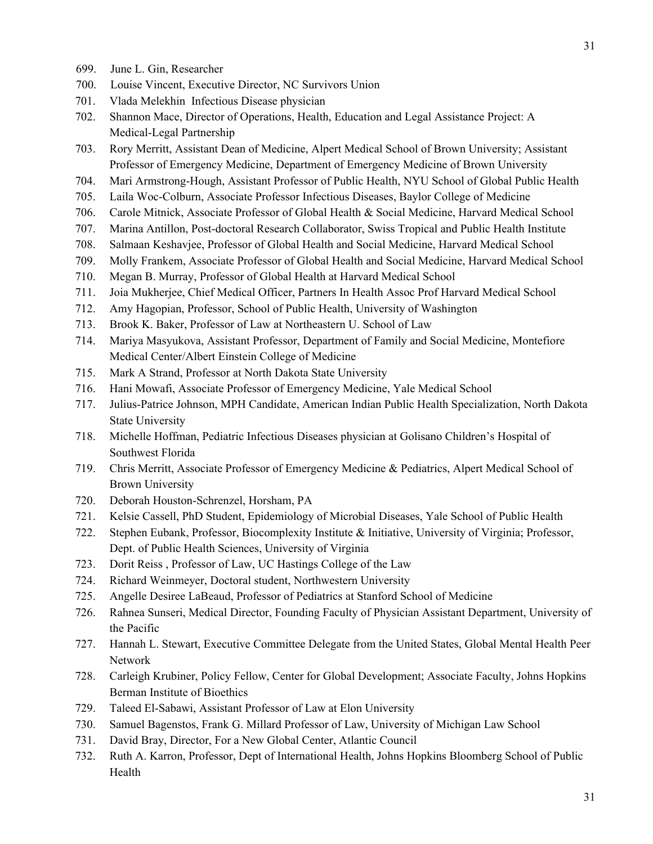- 699. June L. Gin, Researcher
- 700. Louise Vincent, Executive Director, NC Survivors Union
- 701. Vlada Melekhin Infectious Disease physician
- 702. Shannon Mace, Director of Operations, Health, Education and Legal Assistance Project: A Medical-Legal Partnership
- 703. Rory Merritt, Assistant Dean of Medicine, Alpert Medical School of Brown University; Assistant Professor of Emergency Medicine, Department of Emergency Medicine of Brown University
- 704. Mari Armstrong-Hough, Assistant Professor of Public Health, NYU School of Global Public Health
- 705. Laila Woc-Colburn, Associate Professor Infectious Diseases, Baylor College of Medicine
- 706. Carole Mitnick, Associate Professor of Global Health & Social Medicine, Harvard Medical School
- 707. Marina Antillon, Post-doctoral Research Collaborator, Swiss Tropical and Public Health Institute
- 708. Salmaan Keshavjee, Professor of Global Health and Social Medicine, Harvard Medical School
- 709. Molly Frankem, Associate Professor of Global Health and Social Medicine, Harvard Medical School
- 710. Megan B. Murray, Professor of Global Health at Harvard Medical School
- 711. Joia Mukherjee, Chief Medical Officer, Partners In Health Assoc Prof Harvard Medical School
- 712. Amy Hagopian, Professor, School of Public Health, University of Washington
- 713. Brook K. Baker, Professor of Law at Northeastern U. School of Law
- 714. Mariya Masyukova, Assistant Professor, Department of Family and Social Medicine, Montefiore Medical Center/Albert Einstein College of Medicine
- 715. Mark A Strand, Professor at North Dakota State University
- 716. Hani Mowafi, Associate Professor of Emergency Medicine, Yale Medical School
- 717. Julius-Patrice Johnson, MPH Candidate, American Indian Public Health Specialization, North Dakota State University
- 718. Michelle Hoffman, Pediatric Infectious Diseases physician at Golisano Children's Hospital of Southwest Florida
- 719. Chris Merritt, Associate Professor of Emergency Medicine & Pediatrics, Alpert Medical School of Brown University
- 720. Deborah Houston-Schrenzel, Horsham, PA
- 721. Kelsie Cassell, PhD Student, Epidemiology of Microbial Diseases, Yale School of Public Health
- 722. Stephen Eubank, Professor, Biocomplexity Institute & Initiative, University of Virginia; Professor, Dept. of Public Health Sciences, University of Virginia
- 723. Dorit Reiss , Professor of Law, UC Hastings College of the Law
- 724. Richard Weinmeyer, Doctoral student, Northwestern University
- 725. Angelle Desiree LaBeaud, Professor of Pediatrics at Stanford School of Medicine
- 726. Rahnea Sunseri, Medical Director, Founding Faculty of Physician Assistant Department, University of the Pacific
- 727. Hannah L. Stewart, Executive Committee Delegate from the United States, Global Mental Health Peer Network
- 728. Carleigh Krubiner, Policy Fellow, Center for Global Development; Associate Faculty, Johns Hopkins Berman Institute of Bioethics
- 729. Taleed El-Sabawi, Assistant Professor of Law at Elon University
- 730. Samuel Bagenstos, Frank G. Millard Professor of Law, University of Michigan Law School
- 731. David Bray, Director, For a New Global Center, Atlantic Council
- 732. Ruth A. Karron, Professor, Dept of International Health, Johns Hopkins Bloomberg School of Public Health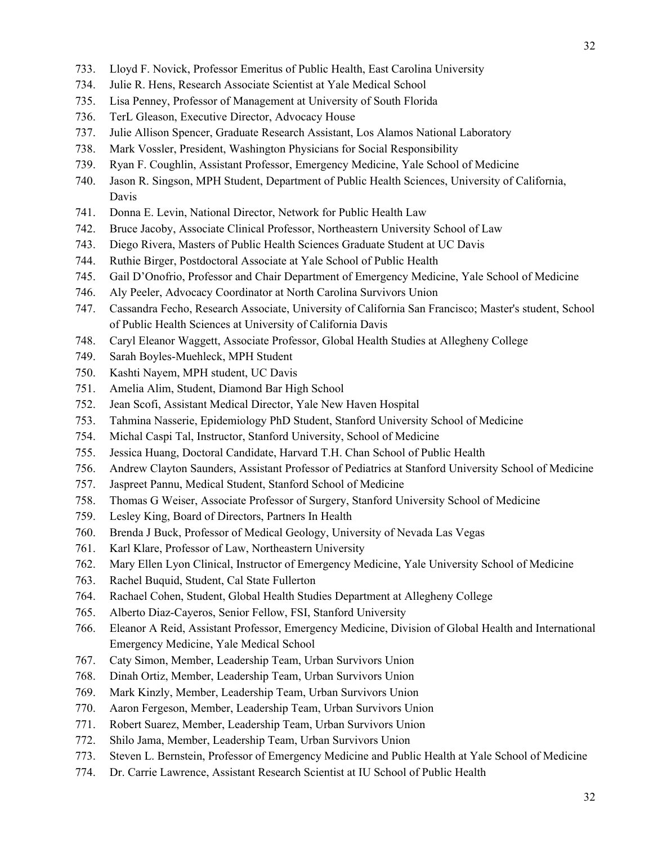- 734. Julie R. Hens, Research Associate Scientist at Yale Medical School
- 735. Lisa Penney, Professor of Management at University of South Florida
- 736. TerL Gleason, Executive Director, Advocacy House
- 737. Julie Allison Spencer, Graduate Research Assistant, Los Alamos National Laboratory
- 738. Mark Vossler, President, Washington Physicians for Social Responsibility
- 739. Ryan F. Coughlin, Assistant Professor, Emergency Medicine, Yale School of Medicine
- 740. Jason R. Singson, MPH Student, Department of Public Health Sciences, University of California, Davis
- 741. Donna E. Levin, National Director, Network for Public Health Law
- 742. Bruce Jacoby, Associate Clinical Professor, Northeastern University School of Law
- 743. Diego Rivera, Masters of Public Health Sciences Graduate Student at UC Davis
- 744. Ruthie Birger, Postdoctoral Associate at Yale School of Public Health
- 745. Gail D'Onofrio, Professor and Chair Department of Emergency Medicine, Yale School of Medicine
- 746. Aly Peeler, Advocacy Coordinator at North Carolina Survivors Union
- 747. Cassandra Fecho, Research Associate, University of California San Francisco; Master's student, School of Public Health Sciences at University of California Davis
- 748. Caryl Eleanor Waggett, Associate Professor, Global Health Studies at Allegheny College
- 749. Sarah Boyles-Muehleck, MPH Student
- 750. Kashti Nayem, MPH student, UC Davis
- 751. Amelia Alim, Student, Diamond Bar High School
- 752. Jean Scofi, Assistant Medical Director, Yale New Haven Hospital
- 753. Tahmina Nasserie, Epidemiology PhD Student, Stanford University School of Medicine
- 754. Michal Caspi Tal, Instructor, Stanford University, School of Medicine
- 755. Jessica Huang, Doctoral Candidate, Harvard T.H. Chan School of Public Health
- 756. Andrew Clayton Saunders, Assistant Professor of Pediatrics at Stanford University School of Medicine
- 757. Jaspreet Pannu, Medical Student, Stanford School of Medicine
- 758. Thomas G Weiser, Associate Professor of Surgery, Stanford University School of Medicine
- 759. Lesley King, Board of Directors, Partners In Health
- 760. Brenda J Buck, Professor of Medical Geology, University of Nevada Las Vegas
- 761. Karl Klare, Professor of Law, Northeastern University
- 762. Mary Ellen Lyon Clinical, Instructor of Emergency Medicine, Yale University School of Medicine
- 763. Rachel Buquid, Student, Cal State Fullerton
- 764. Rachael Cohen, Student, Global Health Studies Department at Allegheny College
- 765. Alberto Diaz-Cayeros, Senior Fellow, FSI, Stanford University
- 766. Eleanor A Reid, Assistant Professor, Emergency Medicine, Division of Global Health and International Emergency Medicine, Yale Medical School
- 767. Caty Simon, Member, Leadership Team, Urban Survivors Union
- 768. Dinah Ortiz, Member, Leadership Team, Urban Survivors Union
- 769. Mark Kinzly, Member, Leadership Team, Urban Survivors Union
- 770. Aaron Fergeson, Member, Leadership Team, Urban Survivors Union
- 771. Robert Suarez, Member, Leadership Team, Urban Survivors Union
- 772. Shilo Jama, Member, Leadership Team, Urban Survivors Union
- 773. Steven L. Bernstein, Professor of Emergency Medicine and Public Health at Yale School of Medicine
- 774. Dr. Carrie Lawrence, Assistant Research Scientist at IU School of Public Health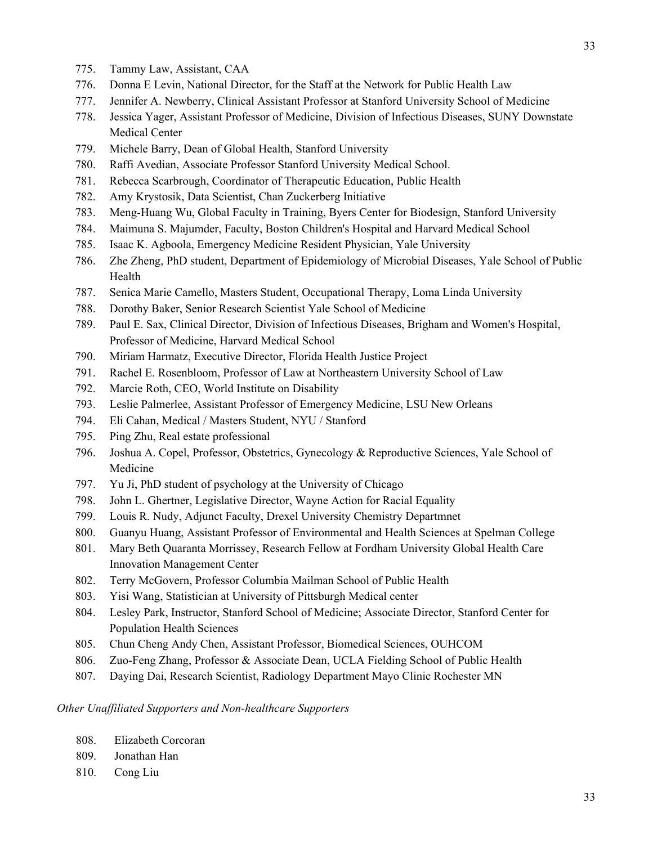- 775. Tammy Law, Assistant, CAA
- 776. Donna E Levin, National Director, for the Staff at the Network for Public Health Law
- 777. Jennifer A. Newberry, Clinical Assistant Professor at Stanford University School of Medicine
- 778. Jessica Yager, Assistant Professor of Medicine, Division of Infectious Diseases, SUNY Downstate Medical Center
- 779. Michele Barry, Dean of Global Health, Stanford University
- 780. Raffi Avedian, Associate Professor Stanford University Medical School.
- 781. Rebecca Scarbrough, Coordinator of Therapeutic Education, Public Health
- 782. Amy Krystosik, Data Scientist, Chan Zuckerberg Initiative
- 783. Meng-Huang Wu, Global Faculty in Training, Byers Center for Biodesign, Stanford University
- 784. Maimuna S. Majumder, Faculty, Boston Children's Hospital and Harvard Medical School
- 785. Isaac K. Agboola, Emergency Medicine Resident Physician, Yale University
- 786. Zhe Zheng, PhD student, Department of Epidemiology of Microbial Diseases, Yale School of Public Health
- 787. Senica Marie Camello, Masters Student, Occupational Therapy, Loma Linda University
- 788. Dorothy Baker, Senior Research Scientist Yale School of Medicine
- 789. Paul E. Sax, Clinical Director, Division of Infectious Diseases, Brigham and Women's Hospital, Professor of Medicine, Harvard Medical School
- 790. Miriam Harmatz, Executive Director, Florida Health Justice Project
- 791. Rachel E. Rosenbloom, Professor of Law at Northeastern University School of Law
- 792. Marcie Roth, CEO, World Institute on Disability
- 793. Leslie Palmerlee, Assistant Professor of Emergency Medicine, LSU New Orleans
- 794. Eli Cahan, Medical / Masters Student, NYU / Stanford
- 795. Ping Zhu, Real estate professional
- 796. Joshua A. Copel, Professor, Obstetrics, Gynecology & Reproductive Sciences, Yale School of Medicine
- 797. Yu Ji, PhD student of psychology at the University of Chicago
- 798. John L. Ghertner, Legislative Director, Wayne Action for Racial Equality
- 799. Louis R. Nudy, Adjunct Faculty, Drexel University Chemistry Departmnet
- 800. Guanyu Huang, Assistant Professor of Environmental and Health Sciences at Spelman College
- 801. Mary Beth Quaranta Morrissey, Research Fellow at Fordham University Global Health Care Innovation Management Center
- 802. Terry McGovern, Professor Columbia Mailman School of Public Health
- 803. Yisi Wang, Statistician at University of Pittsburgh Medical center
- 804. Lesley Park, Instructor, Stanford School of Medicine; Associate Director, Stanford Center for Population Health Sciences
- 805. Chun Cheng Andy Chen, Assistant Professor, Biomedical Sciences, OUHCOM
- 806. Zuo-Feng Zhang, Professor & Associate Dean, UCLA Fielding School of Public Health
- 807. Daying Dai, Research Scientist, Radiology Department Mayo Clinic Rochester MN

#### *Other Unaffiliated Supporters and Non-healthcare Supporters*

- 808. Elizabeth Corcoran
- 809. Jonathan Han
- 810. Cong Liu